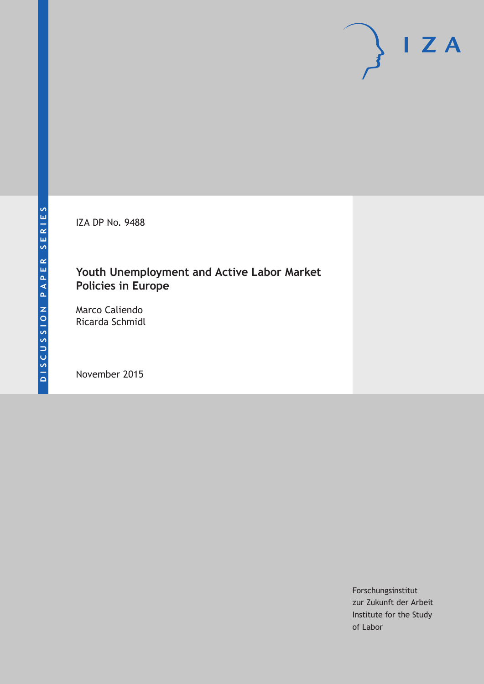IZA DP No. 9488

# **Youth Unemployment and Active Labor Market Policies in Europe**

Marco Caliendo Ricarda Schmidl

November 2015

Forschungsinstitut zur Zukunft der Arbeit Institute for the Study of Labor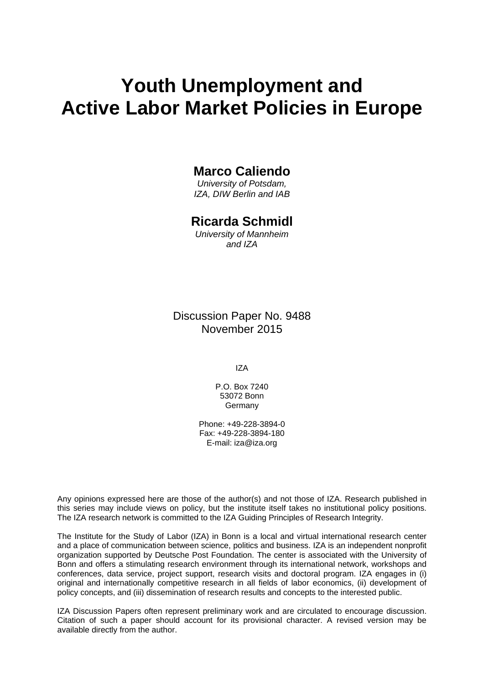# **Youth Unemployment and Active Labor Market Policies in Europe**

# **Marco Caliendo**

*University of Potsdam, IZA, DIW Berlin and IAB* 

# **Ricarda Schmidl**

*University of Mannheim and IZA* 

Discussion Paper No. 9488 November 2015

IZA

P.O. Box 7240 53072 Bonn Germany

Phone: +49-228-3894-0 Fax: +49-228-3894-180 E-mail: iza@iza.org

Any opinions expressed here are those of the author(s) and not those of IZA. Research published in this series may include views on policy, but the institute itself takes no institutional policy positions. The IZA research network is committed to the IZA Guiding Principles of Research Integrity.

The Institute for the Study of Labor (IZA) in Bonn is a local and virtual international research center and a place of communication between science, politics and business. IZA is an independent nonprofit organization supported by Deutsche Post Foundation. The center is associated with the University of Bonn and offers a stimulating research environment through its international network, workshops and conferences, data service, project support, research visits and doctoral program. IZA engages in (i) original and internationally competitive research in all fields of labor economics, (ii) development of policy concepts, and (iii) dissemination of research results and concepts to the interested public.

IZA Discussion Papers often represent preliminary work and are circulated to encourage discussion. Citation of such a paper should account for its provisional character. A revised version may be available directly from the author.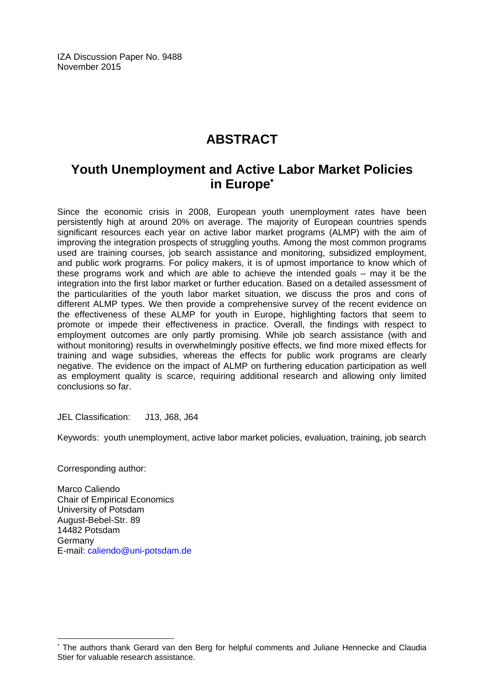IZA Discussion Paper No. 9488 November 2015

# **ABSTRACT**

# **Youth Unemployment and Active Labor Market Policies in Europe\***

Since the economic crisis in 2008, European youth unemployment rates have been persistently high at around 20% on average. The majority of European countries spends significant resources each year on active labor market programs (ALMP) with the aim of improving the integration prospects of struggling youths. Among the most common programs used are training courses, job search assistance and monitoring, subsidized employment, and public work programs. For policy makers, it is of upmost importance to know which of these programs work and which are able to achieve the intended goals – may it be the integration into the first labor market or further education. Based on a detailed assessment of the particularities of the youth labor market situation, we discuss the pros and cons of different ALMP types. We then provide a comprehensive survey of the recent evidence on the effectiveness of these ALMP for youth in Europe, highlighting factors that seem to promote or impede their effectiveness in practice. Overall, the findings with respect to employment outcomes are only partly promising. While job search assistance (with and without monitoring) results in overwhelmingly positive effects, we find more mixed effects for training and wage subsidies, whereas the effects for public work programs are clearly negative. The evidence on the impact of ALMP on furthering education participation as well as employment quality is scarce, requiring additional research and allowing only limited conclusions so far.

JEL Classification: J13, J68, J64

Keywords: youth unemployment, active labor market policies, evaluation, training, job search

Corresponding author:

 $\overline{\phantom{a}}$ 

Marco Caliendo Chair of Empirical Economics University of Potsdam August-Bebel-Str. 89 14482 Potsdam Germany E-mail: caliendo@uni-potsdam.de

<sup>\*</sup> The authors thank Gerard van den Berg for helpful comments and Juliane Hennecke and Claudia Stier for valuable research assistance.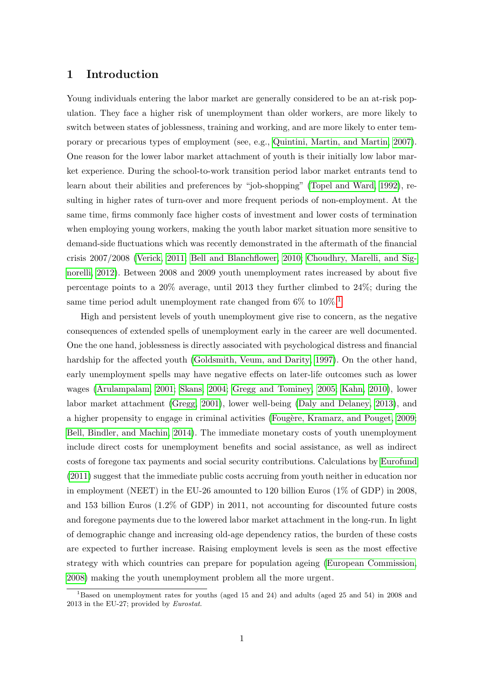### <span id="page-3-1"></span>1 Introduction

Young individuals entering the labor market are generally considered to be an at-risk population. They face a higher risk of unemployment than older workers, are more likely to switch between states of joblessness, training and working, and are more likely to enter temporary or precarious types of employment (see, e.g., [Quintini, Martin, and Martin, 2007\)](#page-27-0). One reason for the lower labor market attachment of youth is their initially low labor market experience. During the school-to-work transition period labor market entrants tend to learn about their abilities and preferences by "job-shopping" [\(Topel and Ward, 1992\)](#page-27-1), resulting in higher rates of turn-over and more frequent periods of non-employment. At the same time, firms commonly face higher costs of investment and lower costs of termination when employing young workers, making the youth labor market situation more sensitive to demand-side fluctuations which was recently demonstrated in the aftermath of the financial crisis 2007/2008 [\(Verick, 2011;](#page-28-0) [Bell and Blanchflower, 2010;](#page-23-0) [Choudhry, Marelli, and Sig](#page-24-0)[norelli, 2012\)](#page-24-0). Between 2008 and 2009 youth unemployment rates increased by about five percentage points to a 20% average, until 2013 they further climbed to 24%; during the same time period adult unemployment rate changed from  $6\%$  to  $10\%$  $10\%$ .

High and persistent levels of youth unemployment give rise to concern, as the negative consequences of extended spells of unemployment early in the career are well documented. One the one hand, joblessness is directly associated with psychological distress and financial hardship for the affected youth [\(Goldsmith, Veum, and Darity, 1997\)](#page-25-0). On the other hand, early unemployment spells may have negative effects on later-life outcomes such as lower wages [\(Arulampalam, 2001;](#page-23-1) [Skans, 2004;](#page-27-2) [Gregg and Tominey, 2005;](#page-25-1) [Kahn, 2010\)](#page-26-0), lower labor market attachment [\(Gregg, 2001\)](#page-25-2), lower well-being [\(Daly and Delaney, 2013\)](#page-24-1), and a higher propensity to engage in criminal activities (Fougère, Kramarz, and Pouget, 2009; [Bell, Bindler, and Machin, 2014\)](#page-23-2). The immediate monetary costs of youth unemployment include direct costs for unemployment benefits and social assistance, as well as indirect costs of foregone tax payments and social security contributions. Calculations by [Eurofund](#page-25-4) [\(2011\)](#page-25-4) suggest that the immediate public costs accruing from youth neither in education nor in employment (NEET) in the EU-26 amounted to 120 billion Euros (1% of GDP) in 2008, and 153 billion Euros (1.2% of GDP) in 2011, not accounting for discounted future costs and foregone payments due to the lowered labor market attachment in the long-run. In light of demographic change and increasing old-age dependency ratios, the burden of these costs are expected to further increase. Raising employment levels is seen as the most effective strategy with which countries can prepare for population ageing [\(European Commission,](#page-25-5) [2008\)](#page-25-5) making the youth unemployment problem all the more urgent.

<span id="page-3-0"></span><sup>1</sup>Based on unemployment rates for youths (aged 15 and 24) and adults (aged 25 and 54) in 2008 and 2013 in the EU-27; provided by Eurostat.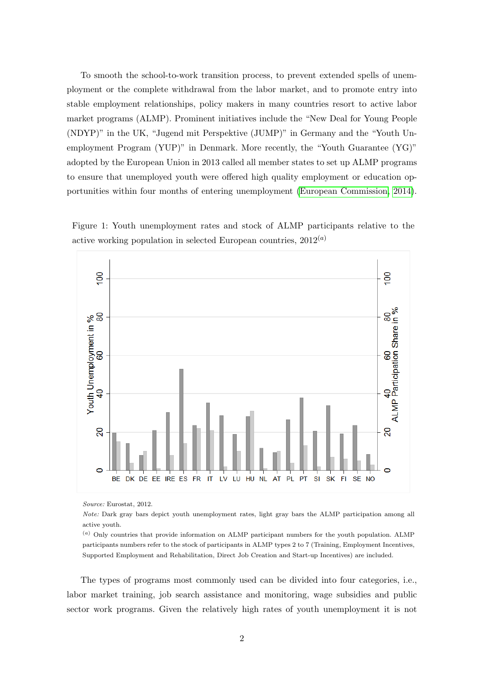To smooth the school-to-work transition process, to prevent extended spells of unemployment or the complete withdrawal from the labor market, and to promote entry into stable employment relationships, policy makers in many countries resort to active labor market programs (ALMP). Prominent initiatives include the "New Deal for Young People (NDYP)" in the UK, "Jugend mit Perspektive (JUMP)" in Germany and the "Youth Unemployment Program (YUP)" in Denmark. More recently, the "Youth Guarantee (YG)" adopted by the European Union in 2013 called all member states to set up ALMP programs to ensure that unemployed youth were offered high quality employment or education opportunities within four months of entering unemployment [\(European Commission, 2014\)](#page-25-6).

<span id="page-4-0"></span>



Source: Eurostat, 2012.

Note: Dark gray bars depict youth unemployment rates, light gray bars the ALMP participation among all active youth.

(a) Only countries that provide information on ALMP participant numbers for the youth population. ALMP participants numbers refer to the stock of participants in ALMP types 2 to 7 (Training, Employment Incentives, Supported Employment and Rehabilitation, Direct Job Creation and Start-up Incentives) are included.

The types of programs most commonly used can be divided into four categories, i.e., labor market training, job search assistance and monitoring, wage subsidies and public sector work programs. Given the relatively high rates of youth unemployment it is not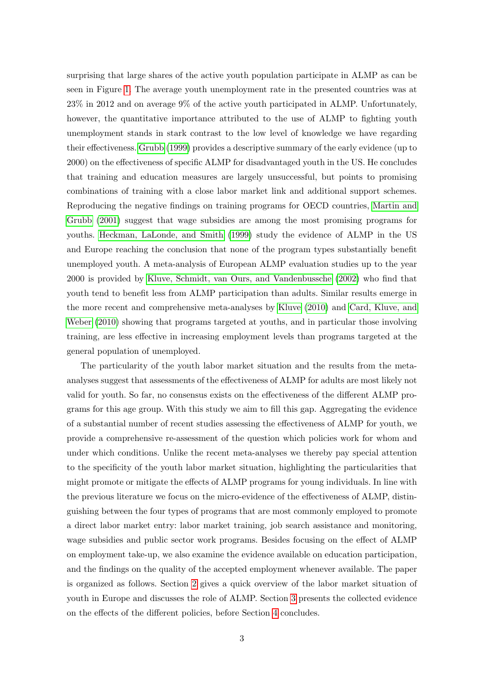surprising that large shares of the active youth population participate in ALMP as can be seen in Figure [1.](#page-4-0) The average youth unemployment rate in the presented countries was at 23% in 2012 and on average 9% of the active youth participated in ALMP. Unfortunately, however, the quantitative importance attributed to the use of ALMP to fighting youth unemployment stands in stark contrast to the low level of knowledge we have regarding their effectiveness. [Grubb](#page-25-7) [\(1999\)](#page-25-7) provides a descriptive summary of the early evidence (up to 2000) on the effectiveness of specific ALMP for disadvantaged youth in the US. He concludes that training and education measures are largely unsuccessful, but points to promising combinations of training with a close labor market link and additional support schemes. Reproducing the negative findings on training programs for OECD countries, [Martin and](#page-27-3) [Grubb](#page-27-3) [\(2001\)](#page-27-3) suggest that wage subsidies are among the most promising programs for youths. [Heckman, LaLonde, and Smith](#page-26-1) [\(1999\)](#page-26-1) study the evidence of ALMP in the US and Europe reaching the conclusion that none of the program types substantially benefit unemployed youth. A meta-analysis of European ALMP evaluation studies up to the year 2000 is provided by [Kluve, Schmidt, van Ours, and Vandenbussche](#page-26-2) [\(2002\)](#page-26-2) who find that youth tend to benefit less from ALMP participation than adults. Similar results emerge in the more recent and comprehensive meta-analyses by [Kluve](#page-26-3) [\(2010\)](#page-26-3) and [Card, Kluve, and](#page-24-2) [Weber](#page-24-2) [\(2010\)](#page-24-2) showing that programs targeted at youths, and in particular those involving training, are less effective in increasing employment levels than programs targeted at the general population of unemployed.

The particularity of the youth labor market situation and the results from the metaanalyses suggest that assessments of the effectiveness of ALMP for adults are most likely not valid for youth. So far, no consensus exists on the effectiveness of the different ALMP programs for this age group. With this study we aim to fill this gap. Aggregating the evidence of a substantial number of recent studies assessing the effectiveness of ALMP for youth, we provide a comprehensive re-assessment of the question which policies work for whom and under which conditions. Unlike the recent meta-analyses we thereby pay special attention to the specificity of the youth labor market situation, highlighting the particularities that might promote or mitigate the effects of ALMP programs for young individuals. In line with the previous literature we focus on the micro-evidence of the effectiveness of ALMP, distinguishing between the four types of programs that are most commonly employed to promote a direct labor market entry: labor market training, job search assistance and monitoring, wage subsidies and public sector work programs. Besides focusing on the effect of ALMP on employment take-up, we also examine the evidence available on education participation, and the findings on the quality of the accepted employment whenever available. The paper is organized as follows. Section [2](#page-6-0) gives a quick overview of the labor market situation of youth in Europe and discusses the role of ALMP. Section [3](#page-11-0) presents the collected evidence on the effects of the different policies, before Section [4](#page-20-0) concludes.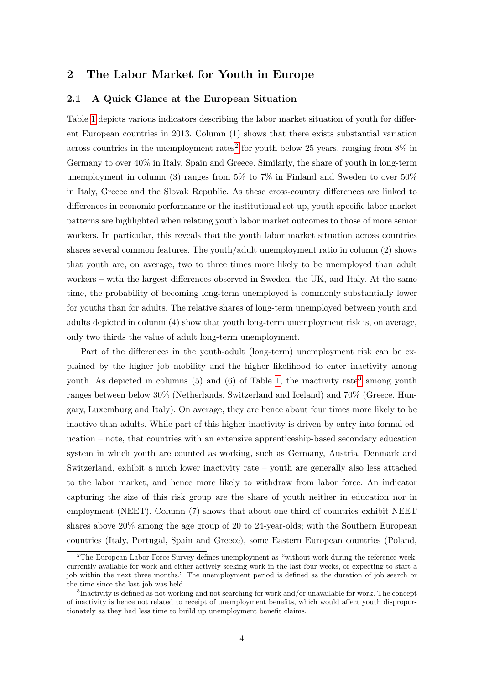### <span id="page-6-0"></span>2 The Labor Market for Youth in Europe

#### 2.1 A Quick Glance at the European Situation

Table [1](#page-7-0) depicts various indicators describing the labor market situation of youth for different European countries in 2013. Column (1) shows that there exists substantial variation across countries in the unemployment rates<sup>[2](#page-6-1)</sup> for youth below 25 years, ranging from  $8\%$  in Germany to over 40% in Italy, Spain and Greece. Similarly, the share of youth in long-term unemployment in column (3) ranges from 5% to 7% in Finland and Sweden to over 50% in Italy, Greece and the Slovak Republic. As these cross-country differences are linked to differences in economic performance or the institutional set-up, youth-specific labor market patterns are highlighted when relating youth labor market outcomes to those of more senior workers. In particular, this reveals that the youth labor market situation across countries shares several common features. The youth/adult unemployment ratio in column (2) shows that youth are, on average, two to three times more likely to be unemployed than adult workers – with the largest differences observed in Sweden, the UK, and Italy. At the same time, the probability of becoming long-term unemployed is commonly substantially lower for youths than for adults. The relative shares of long-term unemployed between youth and adults depicted in column (4) show that youth long-term unemployment risk is, on average, only two thirds the value of adult long-term unemployment.

Part of the differences in the youth-adult (long-term) unemployment risk can be explained by the higher job mobility and the higher likelihood to enter inactivity among youth. As depicted in columns  $(5)$  and  $(6)$  of Table [1,](#page-7-0) the inactivity rate<sup>[3](#page-6-2)</sup> among youth ranges between below 30% (Netherlands, Switzerland and Iceland) and 70% (Greece, Hungary, Luxemburg and Italy). On average, they are hence about four times more likely to be inactive than adults. While part of this higher inactivity is driven by entry into formal education – note, that countries with an extensive apprenticeship-based secondary education system in which youth are counted as working, such as Germany, Austria, Denmark and Switzerland, exhibit a much lower inactivity rate – youth are generally also less attached to the labor market, and hence more likely to withdraw from labor force. An indicator capturing the size of this risk group are the share of youth neither in education nor in employment (NEET). Column (7) shows that about one third of countries exhibit NEET shares above 20% among the age group of 20 to 24-year-olds; with the Southern European countries (Italy, Portugal, Spain and Greece), some Eastern European countries (Poland,

<span id="page-6-1"></span><sup>2</sup>The European Labor Force Survey defines unemployment as "without work during the reference week, currently available for work and either actively seeking work in the last four weeks, or expecting to start a job within the next three months." The unemployment period is defined as the duration of job search or the time since the last job was held.

<span id="page-6-2"></span><sup>&</sup>lt;sup>3</sup>Inactivity is defined as not working and not searching for work and/or unavailable for work. The concept of inactivity is hence not related to receipt of unemployment benefits, which would affect youth disproportionately as they had less time to build up unemployment benefit claims.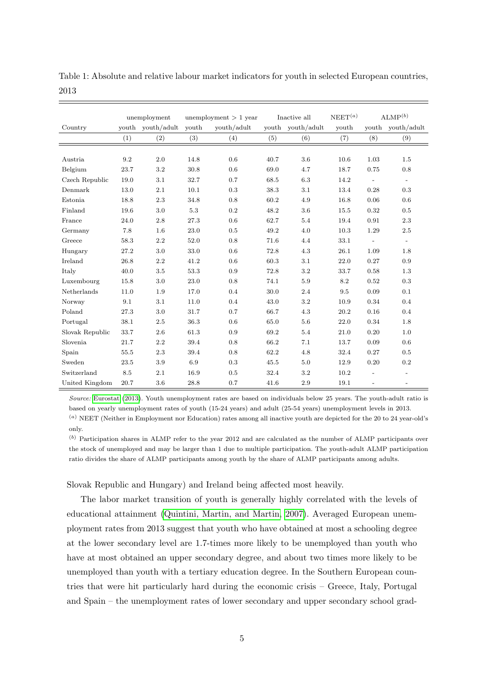|                 |      | unemployment            |      | unemployment $> 1$ year |      | Inactive all      | $NEET^{(a)}$ |                          | ALMP <sup>(b)</sup>      |
|-----------------|------|-------------------------|------|-------------------------|------|-------------------|--------------|--------------------------|--------------------------|
| Country         |      | youth youth/adult youth |      | youth/adult             |      | youth youth/adult | youth        |                          | youth youth/adult        |
|                 | (1)  | (2)                     | (3)  | (4)                     | (5)  | (6)               | (7)          | (8)                      | (9)                      |
|                 |      |                         |      |                         |      |                   |              |                          |                          |
| Austria         | 9.2  | 2.0                     | 14.8 | 0.6                     | 40.7 | 3.6               | 10.6         | 1.03                     | 1.5                      |
| Belgium         | 23.7 | 3.2                     | 30.8 | 0.6                     | 69.0 | 4.7               | 18.7         | 0.75                     | $0.8\,$                  |
| Czech Republic  | 19.0 | 3.1                     | 32.7 | 0.7                     | 68.5 | 6.3               | 14.2         | $\frac{1}{2}$            | $\overline{\phantom{a}}$ |
| Denmark         | 13.0 | 2.1                     | 10.1 | 0.3                     | 38.3 | 3.1               | 13.4         | 0.28                     | 0.3                      |
| Estonia         | 18.8 | 2.3                     | 34.8 | 0.8                     | 60.2 | 4.9               | 16.8         | 0.06                     | 0.6                      |
| Finland         | 19.6 | 3.0                     | 5.3  | 0.2                     | 48.2 | 3.6               | 15.5         | 0.32                     | 0.5                      |
| France          | 24.0 | 2.8                     | 27.3 | 0.6                     | 62.7 | 5.4               | 19.4         | 0.91                     | 2.3                      |
| Germany         | 7.8  | 1.6                     | 23.0 | 0.5                     | 49.2 | 4.0               | 10.3         | 1.29                     | $2.5\,$                  |
| Greece          | 58.3 | 2.2                     | 52.0 | 0.8                     | 71.6 | 4.4               | 33.1         | $\overline{\phantom{m}}$ | $\overline{\phantom{a}}$ |
| Hungary         | 27.2 | 3.0                     | 33.0 | 0.6                     | 72.8 | 4.3               | 26.1         | 1.09                     | 1.8                      |
| Ireland         | 26.8 | 2.2                     | 41.2 | 0.6                     | 60.3 | 3.1               | 22.0         | 0.27                     | 0.9                      |
| Italy           | 40.0 | 3.5                     | 53.3 | 0.9                     | 72.8 | 3.2               | 33.7         | 0.58                     | 1.3                      |
| Luxembourg      | 15.8 | 3.0                     | 23.0 | 0.8                     | 74.1 | 5.9               | 8.2          | 0.52                     | 0.3                      |
| Netherlands     | 11.0 | 1.9                     | 17.0 | 0.4                     | 30.0 | 2.4               | 9.5          | 0.09                     | 0.1                      |
| Norway          | 9.1  | 3.1                     | 11.0 | $0.4\,$                 | 43.0 | 3.2               | 10.9         | 0.34                     | 0.4                      |
| Poland          | 27.3 | $3.0\,$                 | 31.7 | 0.7                     | 66.7 | 4.3               | 20.2         | 0.16                     | 0.4                      |
| Portugal        | 38.1 | 2.5                     | 36.3 | 0.6                     | 65.0 | 5.6               | 22.0         | 0.34                     | 1.8                      |
| Slovak Republic | 33.7 | 2.6                     | 61.3 | 0.9                     | 69.2 | 5.4               | 21.0         | 0.20                     | 1.0                      |
| Slovenia        | 21.7 | $2.2\,$                 | 39.4 | 0.8                     | 66.2 | 7.1               | 13.7         | 0.09                     | 0.6                      |
| Spain           | 55.5 | 2.3                     | 39.4 | $0.8\,$                 | 62.2 | 4.8               | 32.4         | 0.27                     | $0.5\,$                  |
| Sweden          | 23.5 | 3.9                     | 6.9  | 0.3                     | 45.5 | 5.0               | 12.9         | 0.20                     | 0.2                      |
| Switzerland     | 8.5  | 2.1                     | 16.9 | 0.5                     | 32.4 | 3.2               | 10.2         | $\overline{\phantom{a}}$ | $\overline{\phantom{a}}$ |
| United Kingdom  | 20.7 | 3.6                     | 28.8 | 0.7                     | 41.6 | 2.9               | 19.1         | $\overline{a}$           | $\overline{\phantom{a}}$ |

<span id="page-7-0"></span>Table 1: Absolute and relative labour market indicators for youth in selected European countries, 2013

Source: [Eurostat](#page-25-8) [\(2013\)](#page-25-8). Youth unemployment rates are based on individuals below 25 years. The youth-adult ratio is based on yearly unemployment rates of youth (15-24 years) and adult (25-54 years) unemployment levels in 2013.  $(a)$  NEET (Neither in Employment nor Education) rates among all inactive youth are depicted for the 20 to 24 year-old's only.

 $(b)$  Participation shares in ALMP refer to the year 2012 and are calculated as the number of ALMP participants over the stock of unemployed and may be larger than 1 due to multiple participation. The youth-adult ALMP participation ratio divides the share of ALMP participants among youth by the share of ALMP participants among adults.

#### Slovak Republic and Hungary) and Ireland being affected most heavily.

The labor market transition of youth is generally highly correlated with the levels of educational attainment [\(Quintini, Martin, and Martin, 2007\)](#page-27-0). Averaged European unemployment rates from 2013 suggest that youth who have obtained at most a schooling degree at the lower secondary level are 1.7-times more likely to be unemployed than youth who have at most obtained an upper secondary degree, and about two times more likely to be unemployed than youth with a tertiary education degree. In the Southern European countries that were hit particularly hard during the economic crisis – Greece, Italy, Portugal and Spain – the unemployment rates of lower secondary and upper secondary school grad-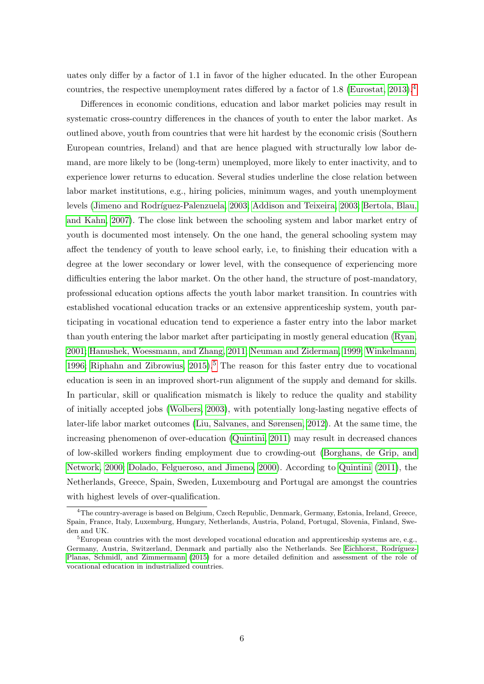uates only differ by a factor of 1.1 in favor of the higher educated. In the other European countries, the respective unemployment rates differed by a factor of 1.8 [\(Eurostat, 2013\)](#page-25-8).[4](#page-8-0)

Differences in economic conditions, education and labor market policies may result in systematic cross-country differences in the chances of youth to enter the labor market. As outlined above, youth from countries that were hit hardest by the economic crisis (Southern European countries, Ireland) and that are hence plagued with structurally low labor demand, are more likely to be (long-term) unemployed, more likely to enter inactivity, and to experience lower returns to education. Several studies underline the close relation between labor market institutions, e.g., hiring policies, minimum wages, and youth unemployment levels (Jimeno and Rodríguez-Palenzuela, 2003; [Addison and Teixeira, 2003;](#page-23-3) [Bertola, Blau,](#page-23-4) [and Kahn, 2007\)](#page-23-4). The close link between the schooling system and labor market entry of youth is documented most intensely. On the one hand, the general schooling system may affect the tendency of youth to leave school early, i.e, to finishing their education with a degree at the lower secondary or lower level, with the consequence of experiencing more difficulties entering the labor market. On the other hand, the structure of post-mandatory, professional education options affects the youth labor market transition. In countries with established vocational education tracks or an extensive apprenticeship system, youth participating in vocational education tend to experience a faster entry into the labor market than youth entering the labor market after participating in mostly general education [\(Ryan,](#page-27-4) [2001;](#page-27-4) [Hanushek, Woessmann, and Zhang, 2011;](#page-26-5) [Neuman and Ziderman, 1999;](#page-27-5) [Winkelmann,](#page-28-1) [1996;](#page-28-1) Riphahn and Zibrowius,  $2015$  $2015$ .<sup>5</sup> The reason for this faster entry due to vocational education is seen in an improved short-run alignment of the supply and demand for skills. In particular, skill or qualification mismatch is likely to reduce the quality and stability of initially accepted jobs [\(Wolbers, 2003\)](#page-28-2), with potentially long-lasting negative effects of later-life labor market outcomes [\(Liu, Salvanes, and Sørensen, 2012\)](#page-26-6). At the same time, the increasing phenomenon of over-education [\(Quintini, 2011\)](#page-27-7) may result in decreased chances of low-skilled workers finding employment due to crowding-out [\(Borghans, de Grip, and](#page-23-5) [Network, 2000;](#page-23-5) [Dolado, Felgueroso, and Jimeno, 2000\)](#page-25-9). According to [Quintini](#page-27-7) [\(2011\)](#page-27-7), the Netherlands, Greece, Spain, Sweden, Luxembourg and Portugal are amongst the countries with highest levels of over-qualification.

<span id="page-8-0"></span><sup>4</sup>The country-average is based on Belgium, Czech Republic, Denmark, Germany, Estonia, Ireland, Greece, Spain, France, Italy, Luxemburg, Hungary, Netherlands, Austria, Poland, Portugal, Slovenia, Finland, Sweden and UK.

<span id="page-8-1"></span> ${}^{5}$ European countries with the most developed vocational education and apprenticeship systems are, e.g., Germany, Austria, Switzerland, Denmark and partially also the Netherlands. See Eichhorst, Rodríguez-[Planas, Schmidl, and Zimmermann](#page-25-10) [\(2015\)](#page-25-10) for a more detailed definition and assessment of the role of vocational education in industrialized countries.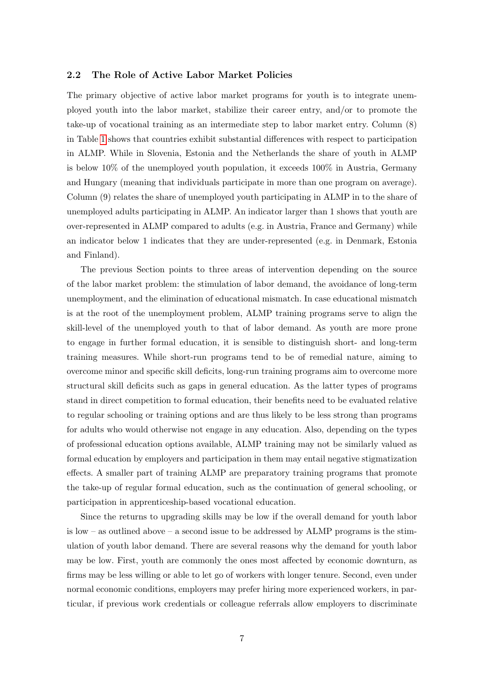#### 2.2 The Role of Active Labor Market Policies

The primary objective of active labor market programs for youth is to integrate unemployed youth into the labor market, stabilize their career entry, and/or to promote the take-up of vocational training as an intermediate step to labor market entry. Column (8) in Table [1](#page-7-0) shows that countries exhibit substantial differences with respect to participation in ALMP. While in Slovenia, Estonia and the Netherlands the share of youth in ALMP is below 10% of the unemployed youth population, it exceeds 100% in Austria, Germany and Hungary (meaning that individuals participate in more than one program on average). Column (9) relates the share of unemployed youth participating in ALMP in to the share of unemployed adults participating in ALMP. An indicator larger than 1 shows that youth are over-represented in ALMP compared to adults (e.g. in Austria, France and Germany) while an indicator below 1 indicates that they are under-represented (e.g. in Denmark, Estonia and Finland).

The previous Section points to three areas of intervention depending on the source of the labor market problem: the stimulation of labor demand, the avoidance of long-term unemployment, and the elimination of educational mismatch. In case educational mismatch is at the root of the unemployment problem, ALMP training programs serve to align the skill-level of the unemployed youth to that of labor demand. As youth are more prone to engage in further formal education, it is sensible to distinguish short- and long-term training measures. While short-run programs tend to be of remedial nature, aiming to overcome minor and specific skill deficits, long-run training programs aim to overcome more structural skill deficits such as gaps in general education. As the latter types of programs stand in direct competition to formal education, their benefits need to be evaluated relative to regular schooling or training options and are thus likely to be less strong than programs for adults who would otherwise not engage in any education. Also, depending on the types of professional education options available, ALMP training may not be similarly valued as formal education by employers and participation in them may entail negative stigmatization effects. A smaller part of training ALMP are preparatory training programs that promote the take-up of regular formal education, such as the continuation of general schooling, or participation in apprenticeship-based vocational education.

Since the returns to upgrading skills may be low if the overall demand for youth labor is  $\text{low}$  – as outlined above – a second issue to be addressed by ALMP programs is the stimulation of youth labor demand. There are several reasons why the demand for youth labor may be low. First, youth are commonly the ones most affected by economic downturn, as firms may be less willing or able to let go of workers with longer tenure. Second, even under normal economic conditions, employers may prefer hiring more experienced workers, in particular, if previous work credentials or colleague referrals allow employers to discriminate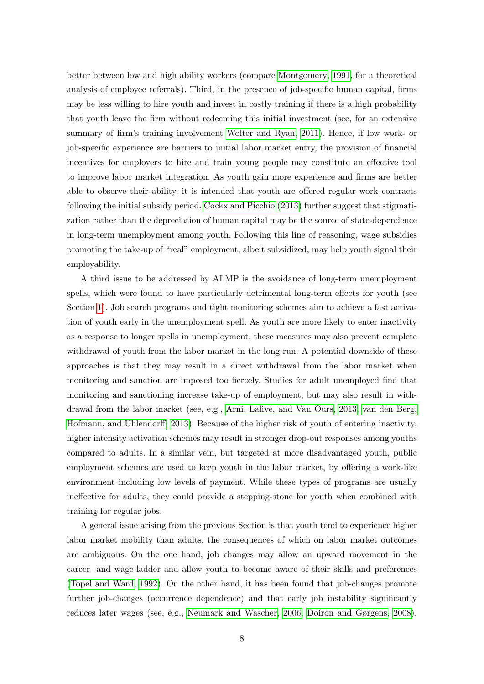better between low and high ability workers (compare [Montgomery, 1991,](#page-27-8) for a theoretical analysis of employee referrals). Third, in the presence of job-specific human capital, firms may be less willing to hire youth and invest in costly training if there is a high probability that youth leave the firm without redeeming this initial investment (see, for an extensive summary of firm's training involvement [Wolter and Ryan, 2011\)](#page-28-3). Hence, if low work- or job-specific experience are barriers to initial labor market entry, the provision of financial incentives for employers to hire and train young people may constitute an effective tool to improve labor market integration. As youth gain more experience and firms are better able to observe their ability, it is intended that youth are offered regular work contracts following the initial subsidy period. [Cockx and Picchio](#page-24-3) [\(2013\)](#page-24-3) further suggest that stigmatization rather than the depreciation of human capital may be the source of state-dependence in long-term unemployment among youth. Following this line of reasoning, wage subsidies promoting the take-up of "real" employment, albeit subsidized, may help youth signal their employability.

A third issue to be addressed by ALMP is the avoidance of long-term unemployment spells, which were found to have particularly detrimental long-term effects for youth (see Section [1\)](#page-3-1). Job search programs and tight monitoring schemes aim to achieve a fast activation of youth early in the unemployment spell. As youth are more likely to enter inactivity as a response to longer spells in unemployment, these measures may also prevent complete withdrawal of youth from the labor market in the long-run. A potential downside of these approaches is that they may result in a direct withdrawal from the labor market when monitoring and sanction are imposed too fiercely. Studies for adult unemployed find that monitoring and sanctioning increase take-up of employment, but may also result in withdrawal from the labor market (see, e.g., [Arni, Lalive, and Van Ours, 2013;](#page-23-6) [van den Berg,](#page-28-4) [Hofmann, and Uhlendorff, 2013\)](#page-28-4). Because of the higher risk of youth of entering inactivity, higher intensity activation schemes may result in stronger drop-out responses among youths compared to adults. In a similar vein, but targeted at more disadvantaged youth, public employment schemes are used to keep youth in the labor market, by offering a work-like environment including low levels of payment. While these types of programs are usually ineffective for adults, they could provide a stepping-stone for youth when combined with training for regular jobs.

A general issue arising from the previous Section is that youth tend to experience higher labor market mobility than adults, the consequences of which on labor market outcomes are ambiguous. On the one hand, job changes may allow an upward movement in the career- and wage-ladder and allow youth to become aware of their skills and preferences [\(Topel and Ward, 1992\)](#page-27-1). On the other hand, it has been found that job-changes promote further job-changes (occurrence dependence) and that early job instability significantly reduces later wages (see, e.g., [Neumark and Wascher, 2006;](#page-27-9) [Doiron and Gørgens, 2008\)](#page-25-11).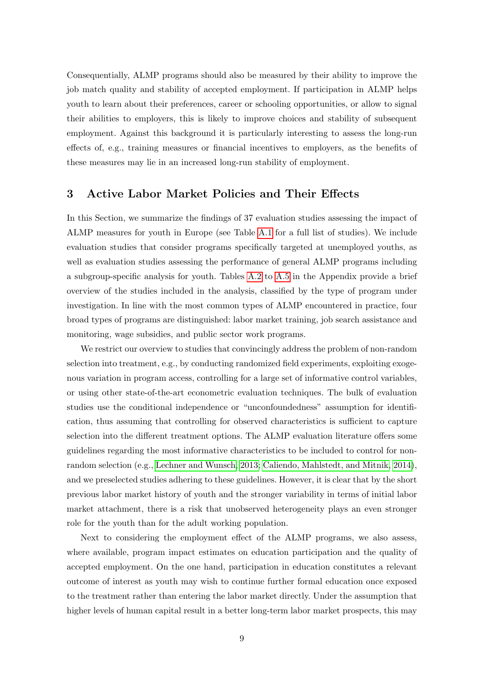Consequentially, ALMP programs should also be measured by their ability to improve the job match quality and stability of accepted employment. If participation in ALMP helps youth to learn about their preferences, career or schooling opportunities, or allow to signal their abilities to employers, this is likely to improve choices and stability of subsequent employment. Against this background it is particularly interesting to assess the long-run effects of, e.g., training measures or financial incentives to employers, as the benefits of these measures may lie in an increased long-run stability of employment.

### <span id="page-11-0"></span>3 Active Labor Market Policies and Their Effects

In this Section, we summarize the findings of 37 evaluation studies assessing the impact of ALMP measures for youth in Europe (see Table [A.1](#page-7-0) for a full list of studies). We include evaluation studies that consider programs specifically targeted at unemployed youths, as well as evaluation studies assessing the performance of general ALMP programs including a subgroup-specific analysis for youth. Tables [A.2](#page-19-0) to [A.5](#page-39-0) in the Appendix provide a brief overview of the studies included in the analysis, classified by the type of program under investigation. In line with the most common types of ALMP encountered in practice, four broad types of programs are distinguished: labor market training, job search assistance and monitoring, wage subsidies, and public sector work programs.

We restrict our overview to studies that convincingly address the problem of non-random selection into treatment, e.g., by conducting randomized field experiments, exploiting exogenous variation in program access, controlling for a large set of informative control variables, or using other state-of-the-art econometric evaluation techniques. The bulk of evaluation studies use the conditional independence or "unconfoundedness" assumption for identification, thus assuming that controlling for observed characteristics is sufficient to capture selection into the different treatment options. The ALMP evaluation literature offers some guidelines regarding the most informative characteristics to be included to control for nonrandom selection (e.g., [Lechner and Wunsch, 2013;](#page-26-7) [Caliendo, Mahlstedt, and Mitnik, 2014\)](#page-24-4), and we preselected studies adhering to these guidelines. However, it is clear that by the short previous labor market history of youth and the stronger variability in terms of initial labor market attachment, there is a risk that unobserved heterogeneity plays an even stronger role for the youth than for the adult working population.

Next to considering the employment effect of the ALMP programs, we also assess, where available, program impact estimates on education participation and the quality of accepted employment. On the one hand, participation in education constitutes a relevant outcome of interest as youth may wish to continue further formal education once exposed to the treatment rather than entering the labor market directly. Under the assumption that higher levels of human capital result in a better long-term labor market prospects, this may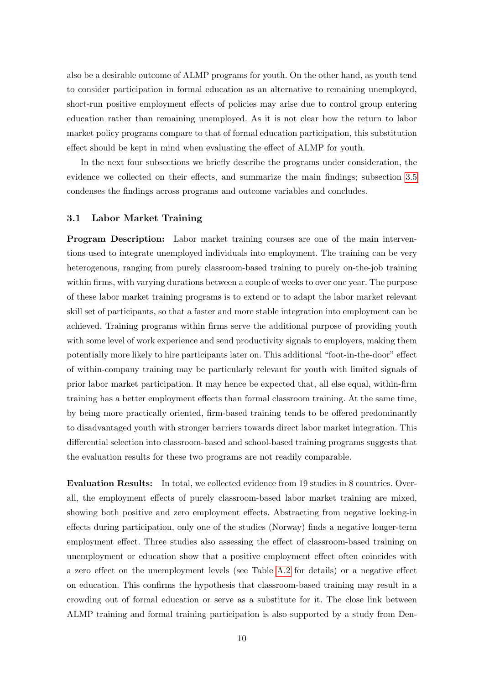also be a desirable outcome of ALMP programs for youth. On the other hand, as youth tend to consider participation in formal education as an alternative to remaining unemployed, short-run positive employment effects of policies may arise due to control group entering education rather than remaining unemployed. As it is not clear how the return to labor market policy programs compare to that of formal education participation, this substitution effect should be kept in mind when evaluating the effect of ALMP for youth.

In the next four subsections we briefly describe the programs under consideration, the evidence we collected on their effects, and summarize the main findings; subsection [3.5](#page-18-0) condenses the findings across programs and outcome variables and concludes.

#### <span id="page-12-0"></span>3.1 Labor Market Training

Program Description: Labor market training courses are one of the main interventions used to integrate unemployed individuals into employment. The training can be very heterogenous, ranging from purely classroom-based training to purely on-the-job training within firms, with varying durations between a couple of weeks to over one year. The purpose of these labor market training programs is to extend or to adapt the labor market relevant skill set of participants, so that a faster and more stable integration into employment can be achieved. Training programs within firms serve the additional purpose of providing youth with some level of work experience and send productivity signals to employers, making them potentially more likely to hire participants later on. This additional "foot-in-the-door" effect of within-company training may be particularly relevant for youth with limited signals of prior labor market participation. It may hence be expected that, all else equal, within-firm training has a better employment effects than formal classroom training. At the same time, by being more practically oriented, firm-based training tends to be offered predominantly to disadvantaged youth with stronger barriers towards direct labor market integration. This differential selection into classroom-based and school-based training programs suggests that the evaluation results for these two programs are not readily comparable.

Evaluation Results: In total, we collected evidence from 19 studies in 8 countries. Overall, the employment effects of purely classroom-based labor market training are mixed, showing both positive and zero employment effects. Abstracting from negative locking-in effects during participation, only one of the studies (Norway) finds a negative longer-term employment effect. Three studies also assessing the effect of classroom-based training on unemployment or education show that a positive employment effect often coincides with a zero effect on the unemployment levels (see Table [A.2](#page-19-0) for details) or a negative effect on education. This confirms the hypothesis that classroom-based training may result in a crowding out of formal education or serve as a substitute for it. The close link between ALMP training and formal training participation is also supported by a study from Den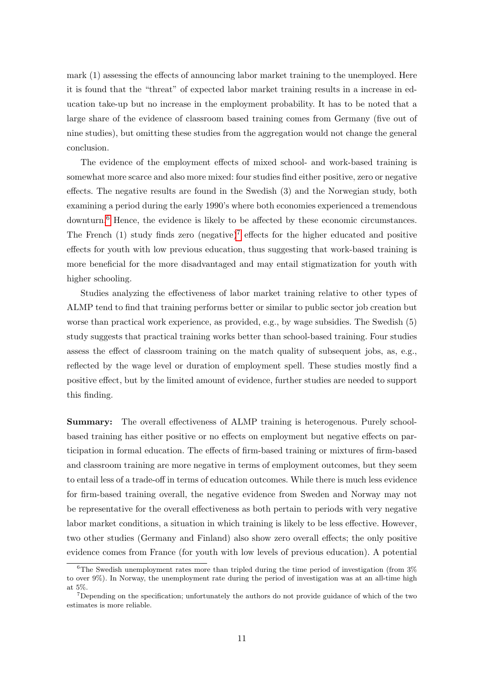mark (1) assessing the effects of announcing labor market training to the unemployed. Here it is found that the "threat" of expected labor market training results in a increase in education take-up but no increase in the employment probability. It has to be noted that a large share of the evidence of classroom based training comes from Germany (five out of nine studies), but omitting these studies from the aggregation would not change the general conclusion.

The evidence of the employment effects of mixed school- and work-based training is somewhat more scarce and also more mixed: four studies find either positive, zero or negative effects. The negative results are found in the Swedish (3) and the Norwegian study, both examining a period during the early 1990's where both economies experienced a tremendous downturn.<sup>[6](#page-13-0)</sup> Hence, the evidence is likely to be affected by these economic circumstances. The French  $(1)$  study finds zero (negative)<sup>[7](#page-13-1)</sup> effects for the higher educated and positive effects for youth with low previous education, thus suggesting that work-based training is more beneficial for the more disadvantaged and may entail stigmatization for youth with higher schooling.

Studies analyzing the effectiveness of labor market training relative to other types of ALMP tend to find that training performs better or similar to public sector job creation but worse than practical work experience, as provided, e.g., by wage subsidies. The Swedish (5) study suggests that practical training works better than school-based training. Four studies assess the effect of classroom training on the match quality of subsequent jobs, as, e.g., reflected by the wage level or duration of employment spell. These studies mostly find a positive effect, but by the limited amount of evidence, further studies are needed to support this finding.

Summary: The overall effectiveness of ALMP training is heterogenous. Purely schoolbased training has either positive or no effects on employment but negative effects on participation in formal education. The effects of firm-based training or mixtures of firm-based and classroom training are more negative in terms of employment outcomes, but they seem to entail less of a trade-off in terms of education outcomes. While there is much less evidence for firm-based training overall, the negative evidence from Sweden and Norway may not be representative for the overall effectiveness as both pertain to periods with very negative labor market conditions, a situation in which training is likely to be less effective. However, two other studies (Germany and Finland) also show zero overall effects; the only positive evidence comes from France (for youth with low levels of previous education). A potential

<span id="page-13-0"></span> ${}^{6}$ The Swedish unemployment rates more than tripled during the time period of investigation (from  $3\%$ to over 9%). In Norway, the unemployment rate during the period of investigation was at an all-time high at 5%.

<span id="page-13-1"></span><sup>7</sup>Depending on the specification; unfortunately the authors do not provide guidance of which of the two estimates is more reliable.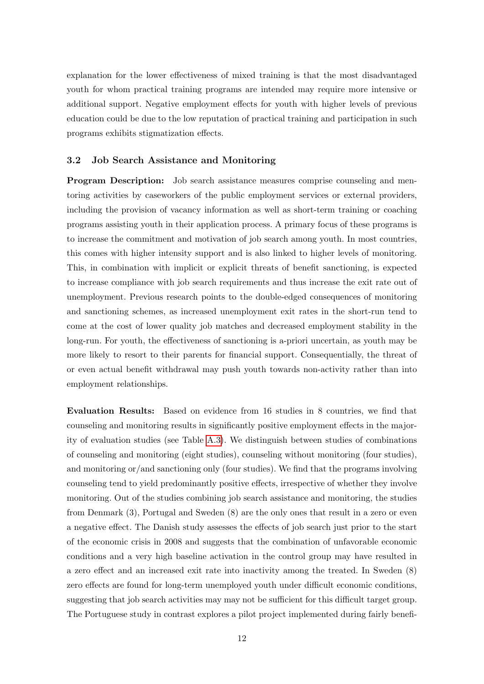explanation for the lower effectiveness of mixed training is that the most disadvantaged youth for whom practical training programs are intended may require more intensive or additional support. Negative employment effects for youth with higher levels of previous education could be due to the low reputation of practical training and participation in such programs exhibits stigmatization effects.

#### 3.2 Job Search Assistance and Monitoring

Program Description: Job search assistance measures comprise counseling and mentoring activities by caseworkers of the public employment services or external providers, including the provision of vacancy information as well as short-term training or coaching programs assisting youth in their application process. A primary focus of these programs is to increase the commitment and motivation of job search among youth. In most countries, this comes with higher intensity support and is also linked to higher levels of monitoring. This, in combination with implicit or explicit threats of benefit sanctioning, is expected to increase compliance with job search requirements and thus increase the exit rate out of unemployment. Previous research points to the double-edged consequences of monitoring and sanctioning schemes, as increased unemployment exit rates in the short-run tend to come at the cost of lower quality job matches and decreased employment stability in the long-run. For youth, the effectiveness of sanctioning is a-priori uncertain, as youth may be more likely to resort to their parents for financial support. Consequentially, the threat of or even actual benefit withdrawal may push youth towards non-activity rather than into employment relationships.

Evaluation Results: Based on evidence from 16 studies in 8 countries, we find that counseling and monitoring results in significantly positive employment effects in the majority of evaluation studies (see Table [A.3\)](#page-34-0). We distinguish between studies of combinations of counseling and monitoring (eight studies), counseling without monitoring (four studies), and monitoring or/and sanctioning only (four studies). We find that the programs involving counseling tend to yield predominantly positive effects, irrespective of whether they involve monitoring. Out of the studies combining job search assistance and monitoring, the studies from Denmark (3), Portugal and Sweden (8) are the only ones that result in a zero or even a negative effect. The Danish study assesses the effects of job search just prior to the start of the economic crisis in 2008 and suggests that the combination of unfavorable economic conditions and a very high baseline activation in the control group may have resulted in a zero effect and an increased exit rate into inactivity among the treated. In Sweden (8) zero effects are found for long-term unemployed youth under difficult economic conditions, suggesting that job search activities may may not be sufficient for this difficult target group. The Portuguese study in contrast explores a pilot project implemented during fairly benefi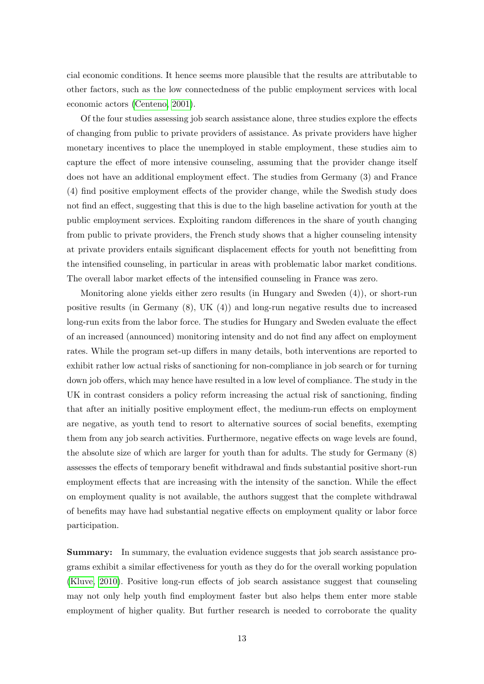cial economic conditions. It hence seems more plausible that the results are attributable to other factors, such as the low connectedness of the public employment services with local economic actors [\(Centeno, 2001\)](#page-24-5).

Of the four studies assessing job search assistance alone, three studies explore the effects of changing from public to private providers of assistance. As private providers have higher monetary incentives to place the unemployed in stable employment, these studies aim to capture the effect of more intensive counseling, assuming that the provider change itself does not have an additional employment effect. The studies from Germany (3) and France (4) find positive employment effects of the provider change, while the Swedish study does not find an effect, suggesting that this is due to the high baseline activation for youth at the public employment services. Exploiting random differences in the share of youth changing from public to private providers, the French study shows that a higher counseling intensity at private providers entails significant displacement effects for youth not benefitting from the intensified counseling, in particular in areas with problematic labor market conditions. The overall labor market effects of the intensified counseling in France was zero.

Monitoring alone yields either zero results (in Hungary and Sweden (4)), or short-run positive results (in Germany (8), UK (4)) and long-run negative results due to increased long-run exits from the labor force. The studies for Hungary and Sweden evaluate the effect of an increased (announced) monitoring intensity and do not find any affect on employment rates. While the program set-up differs in many details, both interventions are reported to exhibit rather low actual risks of sanctioning for non-compliance in job search or for turning down job offers, which may hence have resulted in a low level of compliance. The study in the UK in contrast considers a policy reform increasing the actual risk of sanctioning, finding that after an initially positive employment effect, the medium-run effects on employment are negative, as youth tend to resort to alternative sources of social benefits, exempting them from any job search activities. Furthermore, negative effects on wage levels are found, the absolute size of which are larger for youth than for adults. The study for Germany (8) assesses the effects of temporary benefit withdrawal and finds substantial positive short-run employment effects that are increasing with the intensity of the sanction. While the effect on employment quality is not available, the authors suggest that the complete withdrawal of benefits may have had substantial negative effects on employment quality or labor force participation.

Summary: In summary, the evaluation evidence suggests that job search assistance programs exhibit a similar effectiveness for youth as they do for the overall working population [\(Kluve, 2010\)](#page-26-3). Positive long-run effects of job search assistance suggest that counseling may not only help youth find employment faster but also helps them enter more stable employment of higher quality. But further research is needed to corroborate the quality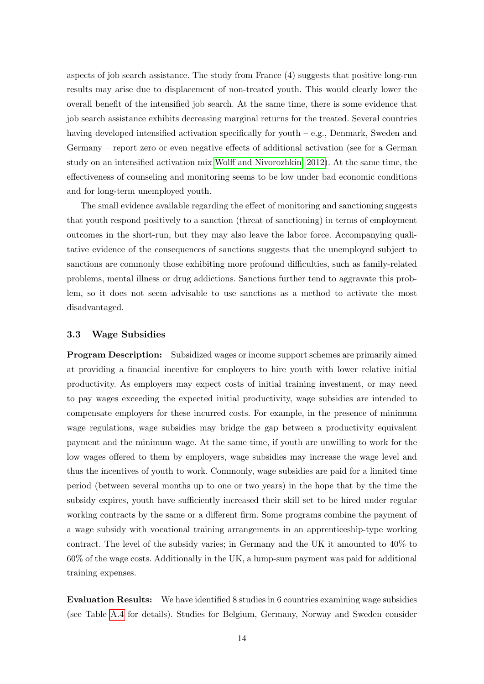aspects of job search assistance. The study from France (4) suggests that positive long-run results may arise due to displacement of non-treated youth. This would clearly lower the overall benefit of the intensified job search. At the same time, there is some evidence that job search assistance exhibits decreasing marginal returns for the treated. Several countries having developed intensified activation specifically for youth – e.g., Denmark, Sweden and Germany – report zero or even negative effects of additional activation (see for a German study on an intensified activation mix [Wolff and Nivorozhkin, 2012\)](#page-28-5). At the same time, the effectiveness of counseling and monitoring seems to be low under bad economic conditions and for long-term unemployed youth.

The small evidence available regarding the effect of monitoring and sanctioning suggests that youth respond positively to a sanction (threat of sanctioning) in terms of employment outcomes in the short-run, but they may also leave the labor force. Accompanying qualitative evidence of the consequences of sanctions suggests that the unemployed subject to sanctions are commonly those exhibiting more profound difficulties, such as family-related problems, mental illness or drug addictions. Sanctions further tend to aggravate this problem, so it does not seem advisable to use sanctions as a method to activate the most disadvantaged.

#### 3.3 Wage Subsidies

Program Description: Subsidized wages or income support schemes are primarily aimed at providing a financial incentive for employers to hire youth with lower relative initial productivity. As employers may expect costs of initial training investment, or may need to pay wages exceeding the expected initial productivity, wage subsidies are intended to compensate employers for these incurred costs. For example, in the presence of minimum wage regulations, wage subsidies may bridge the gap between a productivity equivalent payment and the minimum wage. At the same time, if youth are unwilling to work for the low wages offered to them by employers, wage subsidies may increase the wage level and thus the incentives of youth to work. Commonly, wage subsidies are paid for a limited time period (between several months up to one or two years) in the hope that by the time the subsidy expires, youth have sufficiently increased their skill set to be hired under regular working contracts by the same or a different firm. Some programs combine the payment of a wage subsidy with vocational training arrangements in an apprenticeship-type working contract. The level of the subsidy varies; in Germany and the UK it amounted to 40% to 60% of the wage costs. Additionally in the UK, a lump-sum payment was paid for additional training expenses.

Evaluation Results: We have identified 8 studies in 6 countries examining wage subsidies (see Table [A.4](#page-37-0) for details). Studies for Belgium, Germany, Norway and Sweden consider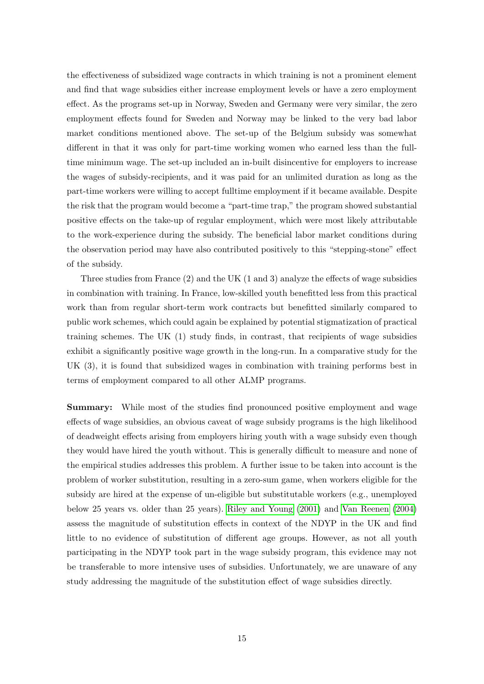the effectiveness of subsidized wage contracts in which training is not a prominent element and find that wage subsidies either increase employment levels or have a zero employment effect. As the programs set-up in Norway, Sweden and Germany were very similar, the zero employment effects found for Sweden and Norway may be linked to the very bad labor market conditions mentioned above. The set-up of the Belgium subsidy was somewhat different in that it was only for part-time working women who earned less than the fulltime minimum wage. The set-up included an in-built disincentive for employers to increase the wages of subsidy-recipients, and it was paid for an unlimited duration as long as the part-time workers were willing to accept fulltime employment if it became available. Despite the risk that the program would become a "part-time trap," the program showed substantial positive effects on the take-up of regular employment, which were most likely attributable to the work-experience during the subsidy. The beneficial labor market conditions during the observation period may have also contributed positively to this "stepping-stone" effect of the subsidy.

Three studies from France (2) and the UK (1 and 3) analyze the effects of wage subsidies in combination with training. In France, low-skilled youth benefitted less from this practical work than from regular short-term work contracts but benefitted similarly compared to public work schemes, which could again be explained by potential stigmatization of practical training schemes. The UK (1) study finds, in contrast, that recipients of wage subsidies exhibit a significantly positive wage growth in the long-run. In a comparative study for the UK (3), it is found that subsidized wages in combination with training performs best in terms of employment compared to all other ALMP programs.

Summary: While most of the studies find pronounced positive employment and wage effects of wage subsidies, an obvious caveat of wage subsidy programs is the high likelihood of deadweight effects arising from employers hiring youth with a wage subsidy even though they would have hired the youth without. This is generally difficult to measure and none of the empirical studies addresses this problem. A further issue to be taken into account is the problem of worker substitution, resulting in a zero-sum game, when workers eligible for the subsidy are hired at the expense of un-eligible but substitutable workers (e.g., unemployed below 25 years vs. older than 25 years). [Riley and Young](#page-27-10) [\(2001\)](#page-27-10) and [Van Reenen](#page-28-6) [\(2004\)](#page-28-6) assess the magnitude of substitution effects in context of the NDYP in the UK and find little to no evidence of substitution of different age groups. However, as not all youth participating in the NDYP took part in the wage subsidy program, this evidence may not be transferable to more intensive uses of subsidies. Unfortunately, we are unaware of any study addressing the magnitude of the substitution effect of wage subsidies directly.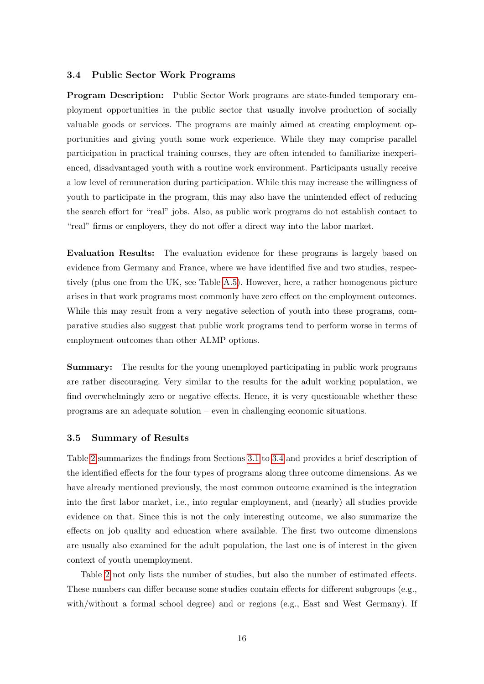#### <span id="page-18-1"></span>3.4 Public Sector Work Programs

Program Description: Public Sector Work programs are state-funded temporary employment opportunities in the public sector that usually involve production of socially valuable goods or services. The programs are mainly aimed at creating employment opportunities and giving youth some work experience. While they may comprise parallel participation in practical training courses, they are often intended to familiarize inexperienced, disadvantaged youth with a routine work environment. Participants usually receive a low level of remuneration during participation. While this may increase the willingness of youth to participate in the program, this may also have the unintended effect of reducing the search effort for "real" jobs. Also, as public work programs do not establish contact to "real" firms or employers, they do not offer a direct way into the labor market.

Evaluation Results: The evaluation evidence for these programs is largely based on evidence from Germany and France, where we have identified five and two studies, respectively (plus one from the UK, see Table [A.5\)](#page-39-0). However, here, a rather homogenous picture arises in that work programs most commonly have zero effect on the employment outcomes. While this may result from a very negative selection of youth into these programs, comparative studies also suggest that public work programs tend to perform worse in terms of employment outcomes than other ALMP options.

Summary: The results for the young unemployed participating in public work programs are rather discouraging. Very similar to the results for the adult working population, we find overwhelmingly zero or negative effects. Hence, it is very questionable whether these programs are an adequate solution – even in challenging economic situations.

#### <span id="page-18-0"></span>3.5 Summary of Results

Table [2](#page-19-0) summarizes the findings from Sections [3.1](#page-12-0) to [3.4](#page-18-1) and provides a brief description of the identified effects for the four types of programs along three outcome dimensions. As we have already mentioned previously, the most common outcome examined is the integration into the first labor market, i.e., into regular employment, and (nearly) all studies provide evidence on that. Since this is not the only interesting outcome, we also summarize the effects on job quality and education where available. The first two outcome dimensions are usually also examined for the adult population, the last one is of interest in the given context of youth unemployment.

Table [2](#page-19-0) not only lists the number of studies, but also the number of estimated effects. These numbers can differ because some studies contain effects for different subgroups (e.g., with/without a formal school degree) and or regions (e.g., East and West Germany). If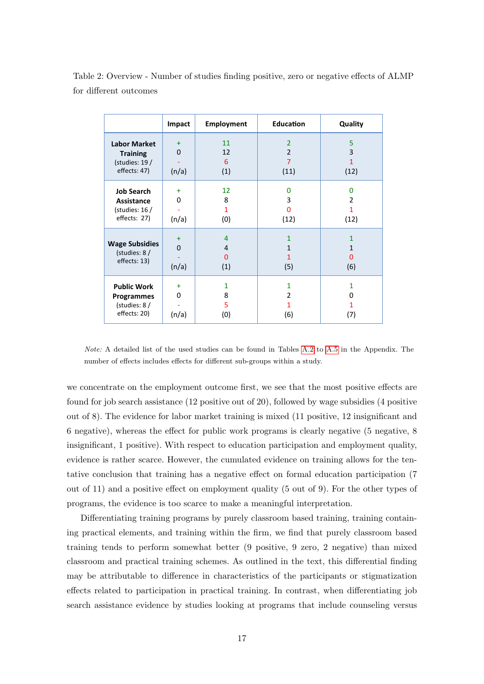<span id="page-19-0"></span>

| Table 2: Overview - Number of studies finding positive, zero or negative effects of ALMP |  |  |  |  |  |
|------------------------------------------------------------------------------------------|--|--|--|--|--|
| for different outcomes                                                                   |  |  |  |  |  |

|                                                                           | Impact                         | <b>Employment</b>    | <b>Education</b>                                           | Quality                          |
|---------------------------------------------------------------------------|--------------------------------|----------------------|------------------------------------------------------------|----------------------------------|
| <b>Labor Market</b><br><b>Training</b><br>(studies: $19/$<br>effects: 47) | $\ddot{}$<br>$\Omega$<br>(n/a) | 11<br>12<br>6<br>(1) | $\overline{2}$<br>$\overline{2}$<br>$\overline{7}$<br>(11) | 5<br>3<br>$\mathbf{1}$<br>(12)   |
| <b>Job Search</b><br><b>Assistance</b><br>(studies: 16 /<br>effects: 27)  | $\ddot{}$<br>0<br>(n/a)        | 12<br>8<br>1<br>(0)  | O<br>3<br>O<br>(12)                                        | 0<br>$\overline{2}$<br>1<br>(12) |
| <b>Wage Subsidies</b><br>(studies: $8/$<br>effects: 13)                   | $\ddot{}$<br>$\Omega$<br>(n/a) | 4<br>4<br>U<br>(1)   | 1<br>1<br>1<br>(5)                                         | 1<br>1<br>$\mathbf{0}$<br>(6)    |
| <b>Public Work</b><br>Programmes<br>(studies: $8/$<br>effects: 20)        | ÷<br>0<br>(n/a)                | 1<br>8<br>5<br>(0)   | 1<br>$\overline{2}$<br>1<br>(6)                            | 1<br>0<br>1<br>(7)               |

Note: A detailed list of the used studies can be found in Tables [A.2](#page-19-0) to [A.5](#page-39-0) in the Appendix. The number of effects includes effects for different sub-groups within a study.

we concentrate on the employment outcome first, we see that the most positive effects are found for job search assistance (12 positive out of 20), followed by wage subsidies (4 positive out of 8). The evidence for labor market training is mixed (11 positive, 12 insignificant and 6 negative), whereas the effect for public work programs is clearly negative (5 negative, 8 insignificant, 1 positive). With respect to education participation and employment quality, evidence is rather scarce. However, the cumulated evidence on training allows for the tentative conclusion that training has a negative effect on formal education participation (7 out of 11) and a positive effect on employment quality (5 out of 9). For the other types of programs, the evidence is too scarce to make a meaningful interpretation.

Differentiating training programs by purely classroom based training, training containing practical elements, and training within the firm, we find that purely classroom based training tends to perform somewhat better (9 positive, 9 zero, 2 negative) than mixed classroom and practical training schemes. As outlined in the text, this differential finding may be attributable to difference in characteristics of the participants or stigmatization effects related to participation in practical training. In contrast, when differentiating job search assistance evidence by studies looking at programs that include counseling versus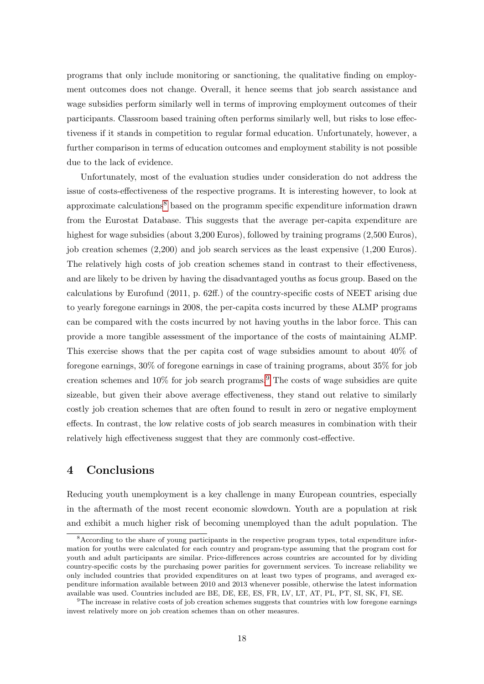programs that only include monitoring or sanctioning, the qualitative finding on employment outcomes does not change. Overall, it hence seems that job search assistance and wage subsidies perform similarly well in terms of improving employment outcomes of their participants. Classroom based training often performs similarly well, but risks to lose effectiveness if it stands in competition to regular formal education. Unfortunately, however, a further comparison in terms of education outcomes and employment stability is not possible due to the lack of evidence.

Unfortunately, most of the evaluation studies under consideration do not address the issue of costs-effectiveness of the respective programs. It is interesting however, to look at approximate calculations[8](#page-20-1) based on the programm specific expenditure information drawn from the Eurostat Database. This suggests that the average per-capita expenditure are highest for wage subsidies (about 3,200 Euros), followed by training programs  $(2,500 \text{ Euros})$ , job creation schemes (2,200) and job search services as the least expensive (1,200 Euros). The relatively high costs of job creation schemes stand in contrast to their effectiveness, and are likely to be driven by having the disadvantaged youths as focus group. Based on the calculations by Eurofund (2011, p. 62ff.) of the country-specific costs of NEET arising due to yearly foregone earnings in 2008, the per-capita costs incurred by these ALMP programs can be compared with the costs incurred by not having youths in the labor force. This can provide a more tangible assessment of the importance of the costs of maintaining ALMP. This exercise shows that the per capita cost of wage subsidies amount to about 40% of foregone earnings, 30% of foregone earnings in case of training programs, about 35% for job creation schemes and  $10\%$  for job search programs.<sup>[9](#page-20-2)</sup> The costs of wage subsidies are quite sizeable, but given their above average effectiveness, they stand out relative to similarly costly job creation schemes that are often found to result in zero or negative employment effects. In contrast, the low relative costs of job search measures in combination with their relatively high effectiveness suggest that they are commonly cost-effective.

## <span id="page-20-0"></span>4 Conclusions

Reducing youth unemployment is a key challenge in many European countries, especially in the aftermath of the most recent economic slowdown. Youth are a population at risk and exhibit a much higher risk of becoming unemployed than the adult population. The

<span id="page-20-1"></span><sup>8</sup>According to the share of young participants in the respective program types, total expenditure information for youths were calculated for each country and program-type assuming that the program cost for youth and adult participants are similar. Price-differences across countries are accounted for by dividing country-specific costs by the purchasing power parities for government services. To increase reliability we only included countries that provided expenditures on at least two types of programs, and averaged expenditure information available between 2010 and 2013 whenever possible, otherwise the latest information available was used. Countries included are BE, DE, EE, ES, FR, LV, LT, AT, PL, PT, SI, SK, FI, SE.

<span id="page-20-2"></span><sup>&</sup>lt;sup>9</sup>The increase in relative costs of job creation schemes suggests that countries with low foregone earnings invest relatively more on job creation schemes than on other measures.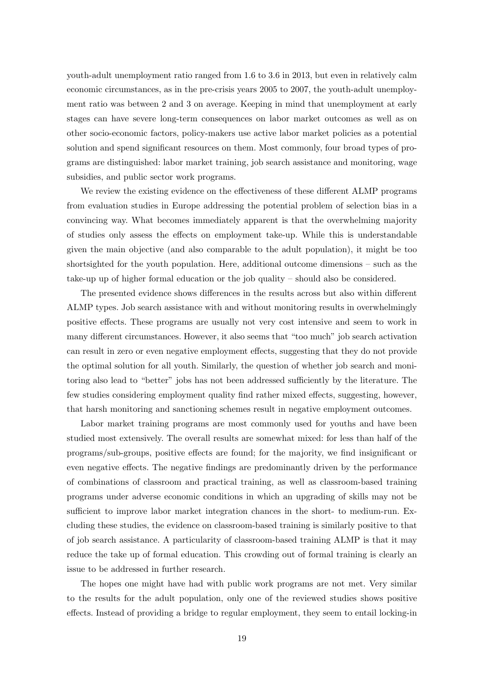youth-adult unemployment ratio ranged from 1.6 to 3.6 in 2013, but even in relatively calm economic circumstances, as in the pre-crisis years 2005 to 2007, the youth-adult unemployment ratio was between 2 and 3 on average. Keeping in mind that unemployment at early stages can have severe long-term consequences on labor market outcomes as well as on other socio-economic factors, policy-makers use active labor market policies as a potential solution and spend significant resources on them. Most commonly, four broad types of programs are distinguished: labor market training, job search assistance and monitoring, wage subsidies, and public sector work programs.

We review the existing evidence on the effectiveness of these different ALMP programs from evaluation studies in Europe addressing the potential problem of selection bias in a convincing way. What becomes immediately apparent is that the overwhelming majority of studies only assess the effects on employment take-up. While this is understandable given the main objective (and also comparable to the adult population), it might be too shortsighted for the youth population. Here, additional outcome dimensions – such as the take-up up of higher formal education or the job quality – should also be considered.

The presented evidence shows differences in the results across but also within different ALMP types. Job search assistance with and without monitoring results in overwhelmingly positive effects. These programs are usually not very cost intensive and seem to work in many different circumstances. However, it also seems that "too much" job search activation can result in zero or even negative employment effects, suggesting that they do not provide the optimal solution for all youth. Similarly, the question of whether job search and monitoring also lead to "better" jobs has not been addressed sufficiently by the literature. The few studies considering employment quality find rather mixed effects, suggesting, however, that harsh monitoring and sanctioning schemes result in negative employment outcomes.

Labor market training programs are most commonly used for youths and have been studied most extensively. The overall results are somewhat mixed: for less than half of the programs/sub-groups, positive effects are found; for the majority, we find insignificant or even negative effects. The negative findings are predominantly driven by the performance of combinations of classroom and practical training, as well as classroom-based training programs under adverse economic conditions in which an upgrading of skills may not be sufficient to improve labor market integration chances in the short- to medium-run. Excluding these studies, the evidence on classroom-based training is similarly positive to that of job search assistance. A particularity of classroom-based training ALMP is that it may reduce the take up of formal education. This crowding out of formal training is clearly an issue to be addressed in further research.

The hopes one might have had with public work programs are not met. Very similar to the results for the adult population, only one of the reviewed studies shows positive effects. Instead of providing a bridge to regular employment, they seem to entail locking-in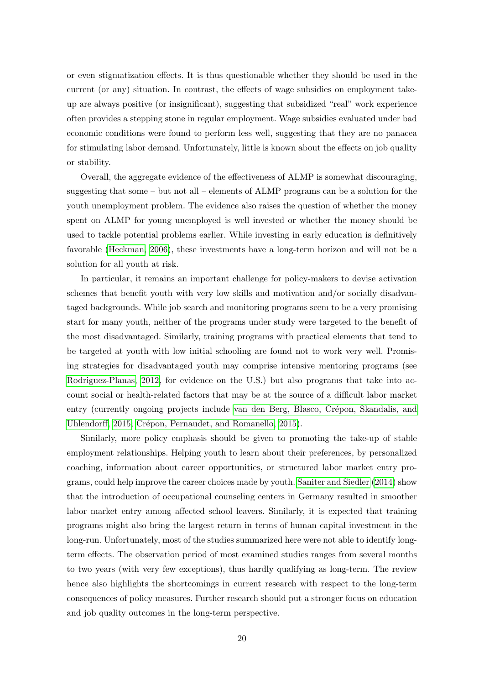or even stigmatization effects. It is thus questionable whether they should be used in the current (or any) situation. In contrast, the effects of wage subsidies on employment takeup are always positive (or insignificant), suggesting that subsidized "real" work experience often provides a stepping stone in regular employment. Wage subsidies evaluated under bad economic conditions were found to perform less well, suggesting that they are no panacea for stimulating labor demand. Unfortunately, little is known about the effects on job quality or stability.

Overall, the aggregate evidence of the effectiveness of ALMP is somewhat discouraging, suggesting that some – but not all – elements of  $\Lambda LMP$  programs can be a solution for the youth unemployment problem. The evidence also raises the question of whether the money spent on ALMP for young unemployed is well invested or whether the money should be used to tackle potential problems earlier. While investing in early education is definitively favorable [\(Heckman, 2006\)](#page-26-8), these investments have a long-term horizon and will not be a solution for all youth at risk.

In particular, it remains an important challenge for policy-makers to devise activation schemes that benefit youth with very low skills and motivation and/or socially disadvantaged backgrounds. While job search and monitoring programs seem to be a very promising start for many youth, neither of the programs under study were targeted to the benefit of the most disadvantaged. Similarly, training programs with practical elements that tend to be targeted at youth with low initial schooling are found not to work very well. Promising strategies for disadvantaged youth may comprise intensive mentoring programs (see [Rodriguez-Planas, 2012,](#page-27-11) for evidence on the U.S.) but also programs that take into account social or health-related factors that may be at the source of a difficult labor market entry (currently ongoing projects include van den Berg, Blasco, Crépon, Skandalis, and [Uhlendorff, 2015;](#page-27-12) Crépon, Pernaudet, and Romanello, 2015).

Similarly, more policy emphasis should be given to promoting the take-up of stable employment relationships. Helping youth to learn about their preferences, by personalized coaching, information about career opportunities, or structured labor market entry programs, could help improve the career choices made by youth. [Saniter and Siedler](#page-27-13) [\(2014\)](#page-27-13) show that the introduction of occupational counseling centers in Germany resulted in smoother labor market entry among affected school leavers. Similarly, it is expected that training programs might also bring the largest return in terms of human capital investment in the long-run. Unfortunately, most of the studies summarized here were not able to identify longterm effects. The observation period of most examined studies ranges from several months to two years (with very few exceptions), thus hardly qualifying as long-term. The review hence also highlights the shortcomings in current research with respect to the long-term consequences of policy measures. Further research should put a stronger focus on education and job quality outcomes in the long-term perspective.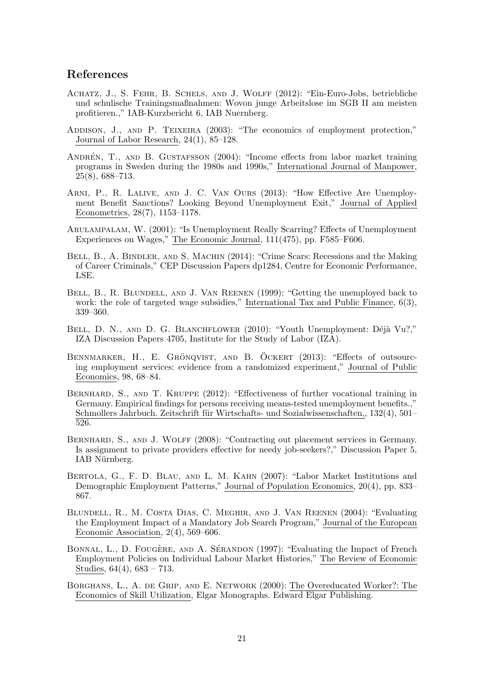### References

- <span id="page-23-8"></span>Achatz, J., S. Fehr, B. Schels, and J. Wolff (2012): "Ein-Euro-Jobs, betriebliche und schulische Trainingsmaßnahmen: Wovon junge Arbeitslose im SGB II am meisten profitieren.," IAB-Kurzbericht 6, IAB Nuernberg.
- <span id="page-23-3"></span>Addison, J., and P. Teixeira (2003): "The economics of employment protection," Journal of Labor Research, 24(1), 85–128.
- <span id="page-23-12"></span>ANDRÉN, T., AND B. GUSTAFSSON (2004): "Income effects from labor market training programs in Sweden during the 1980s and 1990s," International Journal of Manpower, 25(8), 688–713.
- <span id="page-23-6"></span>Arni, P., R. Lalive, and J. C. Van Ours (2013): "How Effective Are Unemployment Benefit Sanctions? Looking Beyond Unemployment Exit," Journal of Applied Econometrics, 28(7), 1153–1178.
- <span id="page-23-1"></span>Arulampalam, W. (2001): "Is Unemployment Really Scarring? Effects of Unemployment Experiences on Wages," The Economic Journal, 111(475), pp. F585–F606.
- <span id="page-23-2"></span>BELL, B., A. BINDLER, AND S. MACHIN (2014): "Crime Scars: Recessions and the Making of Career Criminals," CEP Discussion Papers dp1284, Centre for Economic Performance, LSE.
- <span id="page-23-13"></span>Bell, B., R. Blundell, and J. Van Reenen (1999): "Getting the unemployed back to work: the role of targeted wage subsidies," International Tax and Public Finance, 6(3), 339–360.
- <span id="page-23-0"></span>BELL, D. N., AND D. G. BLANCHFLOWER (2010): "Youth Unemployment: Déjà Vu?," IZA Discussion Papers 4705, Institute for the Study of Labor (IZA).
- <span id="page-23-11"></span>BENNMARKER, H., E. GRÖNQVIST, AND B. OCKERT (2013): "Effects of outsourcing employment services: evidence from a randomized experiment," Journal of Public Economics, 98, 68–84.
- <span id="page-23-9"></span>BERNHARD, S., AND T. KRUPPE (2012): "Effectiveness of further vocational training in Germany. Empirical findings for persons receiving means-tested unemployment benefits.," Schmollers Jahrbuch. Zeitschrift für Wirtschafts- und Sozialwissenschaften,, 132(4), 501– 526.
- <span id="page-23-10"></span>BERNHARD, S., AND J. WOLFF (2008): "Contracting out placement services in Germany. Is assignment to private providers effective for needy job-seekers?," Discussion Paper 5, IAB Nürnberg.
- <span id="page-23-4"></span>Bertola, G., F. D. Blau, and L. M. Kahn (2007): "Labor Market Institutions and Demographic Employment Patterns," Journal of Population Economics, 20(4), pp. 833– 867.
- <span id="page-23-14"></span>Blundell, R., M. Costa Dias, C. Meghir, and J. Van Reenen (2004): "Evaluating the Employment Impact of a Mandatory Job Search Program," Journal of the European Economic Association, 2(4), 569–606.
- <span id="page-23-7"></span>BONNAL, L., D. FOUGÈRE, AND A. SÉRANDON (1997): "Evaluating the Impact of French Employment Policies on Individual Labour Market Histories," The Review of Economic Studies,  $64(4)$ ,  $683 - 713$ .
- <span id="page-23-5"></span>Borghans, L., A. de Grip, and E. Network (2000): The Overeducated Worker?: The Economics of Skill Utilization, Elgar Monographs. Edward Elgar Publishing.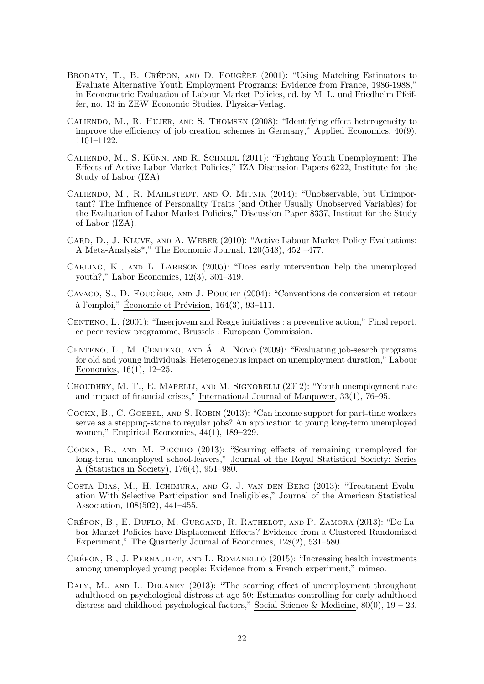- <span id="page-24-8"></span>BRODATY, T., B. CRÉPON, AND D. FOUGÈRE  $(2001)$ : "Using Matching Estimators to Evaluate Alternative Youth Employment Programs: Evidence from France, 1986-1988," in Econometric Evaluation of Labour Market Policies, ed. by M. L. und Friedhelm Pfeiffer, no. 13 in ZEW Economic Studies. Physica-Verlag.
- <span id="page-24-11"></span>Caliendo, M., R. Hujer, and S. Thomsen (2008): "Identifying effect heterogeneity to improve the efficiency of job creation schemes in Germany," Applied Economics, 40(9), 1101–1122.
- <span id="page-24-12"></span>CALIENDO, M., S. KÜNN, AND R. SCHMIDL (2011): "Fighting Youth Unemployment: The Effects of Active Labor Market Policies," IZA Discussion Papers 6222, Institute for the Study of Labor (IZA).
- <span id="page-24-4"></span>CALIENDO, M., R. MAHLSTEDT, AND O. MITNIK (2014): "Unobservable, but Unimportant? The Influence of Personality Traits (and Other Usually Unobserved Variables) for the Evaluation of Labor Market Policies," Discussion Paper 8337, Institut for the Study of Labor (IZA).
- <span id="page-24-2"></span>CARD, D., J. KLUVE, AND A. WEBER (2010): "Active Labour Market Policy Evaluations: A Meta-Analysis\*," The Economic Journal, 120(548), 452 –477.
- <span id="page-24-14"></span>Carling, K., and L. Larrson (2005): "Does early intervention help the unemployed youth?," Labor Economics, 12(3), 301–319.
- <span id="page-24-9"></span>CAVACO, S., D. FOUGÈRE, AND J. POUGET (2004): "Conventions de conversion et retour  $\alpha$  l'emploi," Économie et Prévision, 164(3), 93–111.
- <span id="page-24-5"></span>CENTENO, L. (2001): "Inserjovem and Reage initiatives : a preventive action," Final report. ec peer review programme, Brussels : European Commission.
- <span id="page-24-13"></span>CENTENO, L., M. CENTENO, AND  $\hat{A}$ . A. Novo (2009): "Evaluating job-search programs for old and young individuals: Heterogeneous impact on unemployment duration," Labour Economics, 16(1), 12–25.
- <span id="page-24-0"></span>CHOUDHRY, M. T., E. MARELLI, AND M. SIGNORELLI (2012): "Youth unemployment rate and impact of financial crises," International Journal of Manpower, 33(1), 76–95.
- <span id="page-24-7"></span>COCKX, B., C. GOEBEL, AND S. ROBIN (2013): "Can income support for part-time workers serve as a stepping-stone to regular jobs? An application to young long-term unemployed women," Empirical Economics, 44(1), 189–229.
- <span id="page-24-3"></span>Cockx, B., and M. Picchio (2013): "Scarring effects of remaining unemployed for long-term unemployed school-leavers," Journal of the Royal Statistical Society: Series A (Statistics in Society), 176(4), 951–980.
- <span id="page-24-15"></span>Costa Dias, M., H. Ichimura, and G. J. van den Berg (2013): "Treatment Evaluation With Selective Participation and Ineligibles," Journal of the American Statistical Association, 108(502), 441–455.
- <span id="page-24-10"></span>CRÉPON, B., E. DUFLO, M. GURGAND, R. RATHELOT, AND P. ZAMORA (2013): "Do Labor Market Policies have Displacement Effects? Evidence from a Clustered Randomized Experiment," The Quarterly Journal of Economics, 128(2), 531–580.
- <span id="page-24-6"></span>CRÉPON, B., J. PERNAUDET, AND L. ROMANELLO  $(2015)$ : "Increasing health investments among unemployed young people: Evidence from a French experiment," mimeo.
- <span id="page-24-1"></span>DALY, M., AND L. DELANEY (2013): "The scarring effect of unemployment throughout adulthood on psychological distress at age 50: Estimates controlling for early adulthood distress and childhood psychological factors," Social Science & Medicine,  $80(0)$ ,  $19 - 23$ .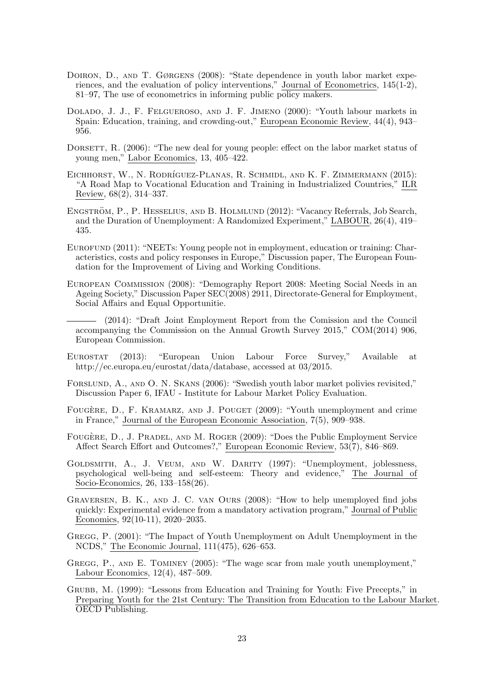- <span id="page-25-11"></span>DOIRON, D., AND T. GØRGENS (2008): "State dependence in youth labor market experiences, and the evaluation of policy interventions," Journal of Econometrics, 145(1-2), 81–97, The use of econometrics in informing public policy makers.
- <span id="page-25-9"></span>Dolado, J. J., F. Felgueroso, and J. F. Jimeno (2000): "Youth labour markets in Spain: Education, training, and crowding-out," European Economic Review, 44(4), 943– 956.
- <span id="page-25-16"></span>DORSETT, R. (2006): "The new deal for young people: effect on the labor market status of young men," Labor Economics, 13, 405–422.
- <span id="page-25-10"></span>EICHHORST, W., N. RODRÍGUEZ-PLANAS, R. SCHMIDL, AND K. F. ZIMMERMANN (2015): "A Road Map to Vocational Education and Training in Industrialized Countries," ILR Review, 68(2), 314–337.
- <span id="page-25-14"></span>ENGSTRÖM, P., P. HESSELIUS, AND B. HOLMLUND (2012): "Vacancy Referrals, Job Search, and the Duration of Unemployment: A Randomized Experiment," LABOUR, 26(4), 419– 435.
- <span id="page-25-4"></span>EUROFUND (2011): "NEETs: Young people not in employment, education or training: Characteristics, costs and policy responses in Europe," Discussion paper, The European Foundation for the Improvement of Living and Working Conditions.
- <span id="page-25-5"></span>European Commission (2008): "Demography Report 2008: Meeting Social Needs in an Ageing Society," Discussion Paper SEC(2008) 2911, Directorate-General for Employment, Social Affairs and Equal Opportunitie.
- <span id="page-25-6"></span>(2014): "Draft Joint Employment Report from the Comission and the Council accompanying the Commission on the Annual Growth Survey 2015," COM(2014) 906, European Commission.
- <span id="page-25-8"></span>Eurostat (2013): "European Union Labour Force Survey," Available at http://ec.europa.eu/eurostat/data/database, accessed at 03/2015.
- <span id="page-25-15"></span>Forslund, A., and O. N. Skans (2006): "Swedish youth labor market polivies revisited," Discussion Paper 6, IFAU - Institute for Labour Market Policy Evaluation.
- <span id="page-25-3"></span>FOUGÈRE, D., F. KRAMARZ, AND J. POUGET (2009): "Youth unemployment and crime in France," Journal of the European Economic Association, 7(5), 909–938.
- <span id="page-25-13"></span>FOUGÈRE, D., J. PRADEL, AND M. ROGER (2009): "Does the Public Employment Service Affect Search Effort and Outcomes?," European Economic Review, 53(7), 846–869.
- <span id="page-25-0"></span>Goldsmith, A., J. Veum, and W. Darity (1997): "Unemployment, joblessness, psychological well-being and self-esteem: Theory and evidence," The Journal of Socio-Economics, 26, 133–158(26).
- <span id="page-25-12"></span>Graversen, B. K., and J. C. van Ours (2008): "How to help unemployed find jobs quickly: Experimental evidence from a mandatory activation program," Journal of Public Economics, 92(10-11), 2020–2035.
- <span id="page-25-2"></span>Gregg, P. (2001): "The Impact of Youth Unemployment on Adult Unemployment in the NCDS," The Economic Journal, 111(475), 626–653.
- <span id="page-25-1"></span>GREGG, P., AND E. TOMINEY (2005): "The wage scar from male youth unemployment," Labour Economics, 12(4), 487–509.
- <span id="page-25-7"></span>Grubb, M. (1999): "Lessons from Education and Training for Youth: Five Precepts," in Preparing Youth for the 21st Century: The Transition from Education to the Labour Market. OECD Publishing.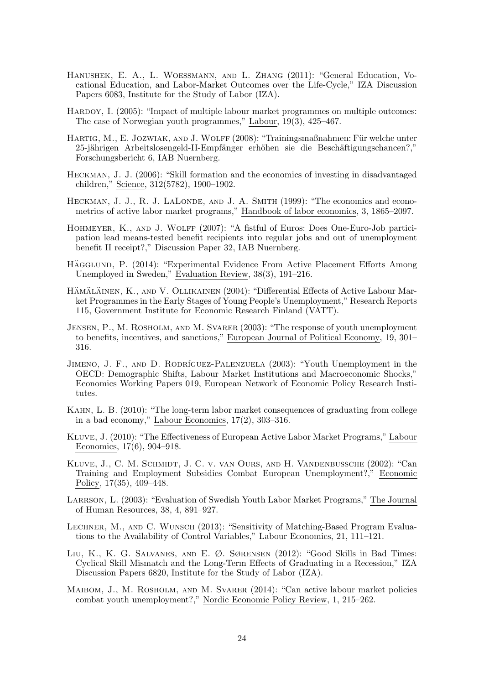- <span id="page-26-5"></span>Hanushek, E. A., L. Woessmann, and L. Zhang (2011): "General Education, Vocational Education, and Labor-Market Outcomes over the Life-Cycle," IZA Discussion Papers 6083, Institute for the Study of Labor (IZA).
- <span id="page-26-14"></span>HARDOY, I. (2005): "Impact of multiple labour market programmes on multiple outcomes: The case of Norwegian youth programmes," Labour, 19(3), 425–467.
- <span id="page-26-12"></span>HARTIG, M., E. JOZWIAK, AND J. WOLFF (2008): "Trainingsmaßnahmen: Für welche unter 25-jährigen Arbeitslosengeld-II-Empfänger erhöhen sie die Beschäftigungschancen?," Forschungsbericht 6, IAB Nuernberg.
- <span id="page-26-8"></span>Heckman, J. J. (2006): "Skill formation and the economics of investing in disadvantaged children," Science, 312(5782), 1900–1902.
- <span id="page-26-1"></span>HECKMAN, J. J., R. J. LALONDE, AND J. A. SMITH (1999): "The economics and econometrics of active labor market programs," Handbook of labor economics, 3, 1865–2097.
- <span id="page-26-13"></span>Hohmeyer, K., and J. Wolff (2007): "A fistful of Euros: Does One-Euro-Job participation lead means-tested benefit recipients into regular jobs and out of unemployment benefit II receipt?," Discussion Paper 32, IAB Nuernberg.
- <span id="page-26-16"></span>HÄGGLUND, P. (2014): "Experimental Evidence From Active Placement Efforts Among Unemployed in Sweden," Evaluation Review, 38(3), 191–216.
- <span id="page-26-11"></span>HÄMÄLÄINEN, K., AND V. OLLIKAINEN (2004): "Differential Effects of Active Labour Market Programmes in the Early Stages of Young People's Unemployment," Research Reports 115, Government Institute for Economic Research Finland (VATT).
- <span id="page-26-9"></span>JENSEN, P., M. ROSHOLM, AND M. SVARER (2003): "The response of youth unemployment to benefits, incentives, and sanctions," European Journal of Political Economy, 19, 301– 316.
- <span id="page-26-4"></span>JIMENO, J. F., AND D. RODRÍGUEZ-PALENZUELA (2003): "Youth Unemployment in the OECD: Demographic Shifts, Labour Market Institutions and Macroeconomic Shocks," Economics Working Papers 019, European Network of Economic Policy Research Institutes.
- <span id="page-26-0"></span>Kahn, L. B. (2010): "The long-term labor market consequences of graduating from college in a bad economy," Labour Economics, 17(2), 303–316.
- <span id="page-26-3"></span>Kluve, J. (2010): "The Effectiveness of European Active Labor Market Programs," Labour Economics, 17(6), 904–918.
- <span id="page-26-2"></span>Kluve, J., C. M. Schmidt, J. C. v. van Ours, and H. Vandenbussche (2002): "Can Training and Employment Subsidies Combat European Unemployment?," Economic Policy, 17(35), 409–448.
- <span id="page-26-15"></span>LARRSON, L. (2003): "Evaluation of Swedish Youth Labor Market Programs," The Journal of Human Resources, 38, 4, 891–927.
- <span id="page-26-7"></span>LECHNER, M., AND C. WUNSCH (2013): "Sensitivity of Matching-Based Program Evaluations to the Availability of Control Variables," Labour Economics, 21, 111–121.
- <span id="page-26-6"></span>Liu, K., K. G. Salvanes, and E. Ø. Sørensen (2012): "Good Skills in Bad Times: Cyclical Skill Mismatch and the Long-Term Effects of Graduating in a Recession," IZA Discussion Papers 6820, Institute for the Study of Labor (IZA).
- <span id="page-26-10"></span>Maibom, J., M. Rosholm, and M. Svarer (2014): "Can active labour market policies combat youth unemployment?," Nordic Economic Policy Review, 1, 215–262.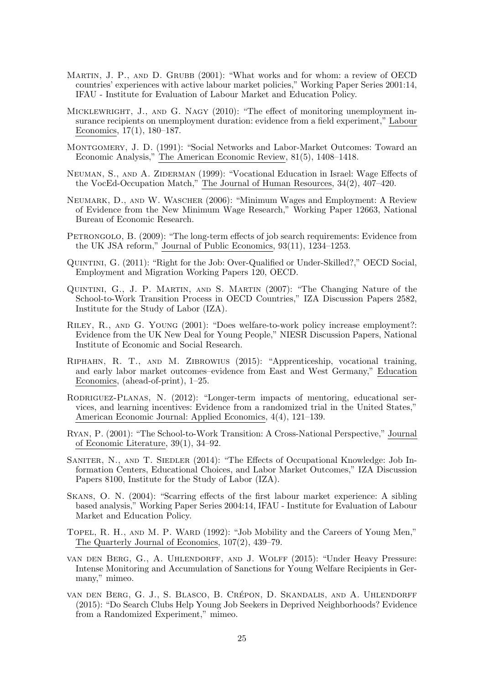- <span id="page-27-3"></span>MARTIN, J. P., AND D. GRUBB (2001): "What works and for whom: a review of OECD countries' experiences with active labour market policies," Working Paper Series 2001:14, IFAU - Institute for Evaluation of Labour Market and Education Policy.
- <span id="page-27-14"></span>MICKLEWRIGHT, J., AND G. NAGY (2010): "The effect of monitoring unemployment insurance recipients on unemployment duration: evidence from a field experiment," Labour Economics, 17(1), 180–187.
- <span id="page-27-8"></span>Montgomery, J. D. (1991): "Social Networks and Labor-Market Outcomes: Toward an Economic Analysis," The American Economic Review, 81(5), 1408–1418.
- <span id="page-27-5"></span>Neuman, S., and A. Ziderman (1999): "Vocational Education in Israel: Wage Effects of the VocEd-Occupation Match," The Journal of Human Resources, 34(2), 407–420.
- <span id="page-27-9"></span>Neumark, D., and W. Wascher (2006): "Minimum Wages and Employment: A Review of Evidence from the New Minimum Wage Research," Working Paper 12663, National Bureau of Economic Research.
- <span id="page-27-15"></span>PETRONGOLO, B. (2009): "The long-term effects of job search requirements: Evidence from the UK JSA reform," Journal of Public Economics, 93(11), 1234–1253.
- <span id="page-27-7"></span>Quintini, G. (2011): "Right for the Job: Over-Qualified or Under-Skilled?," OECD Social, Employment and Migration Working Papers 120, OECD.
- <span id="page-27-0"></span>Quintini, G., J. P. Martin, and S. Martin (2007): "The Changing Nature of the School-to-Work Transition Process in OECD Countries," IZA Discussion Papers 2582, Institute for the Study of Labor (IZA).
- <span id="page-27-10"></span>Riley, R., and G. Young (2001): "Does welfare-to-work policy increase employment?: Evidence from the UK New Deal for Young People," NIESR Discussion Papers, National Institute of Economic and Social Research.
- <span id="page-27-6"></span>Riphahn, R. T., and M. Zibrowius (2015): "Apprenticeship, vocational training, and early labor market outcomes–evidence from East and West Germany," Education Economics, (ahead-of-print), 1–25.
- <span id="page-27-11"></span>Rodriguez-Planas, N. (2012): "Longer-term impacts of mentoring, educational services, and learning incentives: Evidence from a randomized trial in the United States," American Economic Journal: Applied Economics, 4(4), 121–139.
- <span id="page-27-4"></span>Ryan, P. (2001): "The School-to-Work Transition: A Cross-National Perspective," Journal of Economic Literature, 39(1), 34–92.
- <span id="page-27-13"></span>SANITER, N., AND T. SIEDLER (2014): "The Effects of Occupational Knowledge: Job Information Centers, Educational Choices, and Labor Market Outcomes," IZA Discussion Papers 8100, Institute for the Study of Labor (IZA).
- <span id="page-27-2"></span>Skans, O. N. (2004): "Scarring effects of the first labour market experience: A sibling based analysis," Working Paper Series 2004:14, IFAU - Institute for Evaluation of Labour Market and Education Policy.
- <span id="page-27-1"></span>TOPEL, R. H., AND M. P. WARD (1992): "Job Mobility and the Careers of Young Men," The Quarterly Journal of Economics, 107(2), 439–79.
- <span id="page-27-16"></span>van den Berg, G., A. Uhlendorff, and J. Wolff (2015): "Under Heavy Pressure: Intense Monitoring and Accumulation of Sanctions for Young Welfare Recipients in Germany," mimeo.
- <span id="page-27-12"></span>van den Berg, G. J., S. Blasco, B. Crépon, D. Skandalis, and A. Uhlendorff (2015): "Do Search Clubs Help Young Job Seekers in Deprived Neighborhoods? Evidence from a Randomized Experiment," mimeo.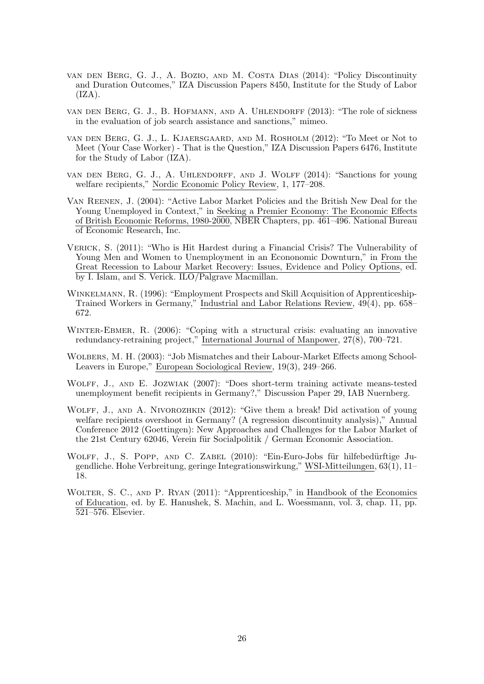- <span id="page-28-12"></span>van den Berg, G. J., A. Bozio, and M. Costa Dias (2014): "Policy Discontinuity and Duration Outcomes," IZA Discussion Papers 8450, Institute for the Study of Labor  $(IZA).$
- <span id="page-28-4"></span>van den Berg, G. J., B. Hofmann, and A. Uhlendorff (2013): "The role of sickness in the evaluation of job search assistance and sanctions," mimeo.
- <span id="page-28-8"></span>van den Berg, G. J., L. Kjaersgaard, and M. Rosholm (2012): "To Meet or Not to Meet (Your Case Worker) - That is the Question," IZA Discussion Papers 6476, Institute for the Study of Labor (IZA).
- <span id="page-28-9"></span>van den Berg, G. J., A. Uhlendorff, and J. Wolff (2014): "Sanctions for young welfare recipients," Nordic Economic Policy Review, 1, 177–208.
- <span id="page-28-6"></span>Van Reenen, J. (2004): "Active Labor Market Policies and the British New Deal for the Young Unemployed in Context," in Seeking a Premier Economy: The Economic Effects of British Economic Reforms, 1980-2000, NBER Chapters, pp. 461–496. National Bureau of Economic Research, Inc.
- <span id="page-28-0"></span>VERICK, S. (2011): "Who is Hit Hardest during a Financial Crisis? The Vulnerability of Young Men and Women to Unemployment in an Econonomic Downturn," in From the Great Recession to Labour Market Recovery: Issues, Evidence and Policy Options, ed. by I. Islam, and S. Verick. ILO/Palgrave Macmillan.
- <span id="page-28-1"></span>Winkelmann, R. (1996): "Employment Prospects and Skill Acquisition of Apprenticeship-Trained Workers in Germany," Industrial and Labor Relations Review, 49(4), pp. 658– 672.
- <span id="page-28-7"></span>WINTER-EBMER, R. (2006): "Coping with a structural crisis: evaluating an innovative redundancy-retraining project," International Journal of Manpower, 27(8), 700–721.
- <span id="page-28-2"></span>Wolbers, M. H. (2003): "Job Mismatches and their Labour-Market Effects among School-Leavers in Europe," European Sociological Review, 19(3), 249–266.
- <span id="page-28-10"></span>WOLFF, J., AND E. JOZWIAK (2007): "Does short-term training activate means-tested unemployment benefit recipients in Germany?," Discussion Paper 29, IAB Nuernberg.
- <span id="page-28-5"></span>WOLFF, J., AND A. NIVOROZHKIN (2012): "Give them a break! Did activation of young welfare recipients overshoot in Germany? (A regression discontinuity analysis)," Annual Conference 2012 (Goettingen): New Approaches and Challenges for the Labor Market of the 21st Century 62046, Verein für Socialpolitik / German Economic Association.
- <span id="page-28-11"></span>WOLFF, J., S. POPP, AND C. ZABEL (2010): "Ein-Euro-Jobs für hilfebedürftige Jugendliche. Hohe Verbreitung, geringe Integrationswirkung," WSI-Mitteilungen,  $63(1)$ , 11– 18.
- <span id="page-28-3"></span>WOLTER, S. C., AND P. RYAN (2011): "Apprenticeship," in Handbook of the Economics of Education, ed. by E. Hanushek, S. Machin, and L. Woessmann, vol. 3, chap. 11, pp. 521–576. Elsevier.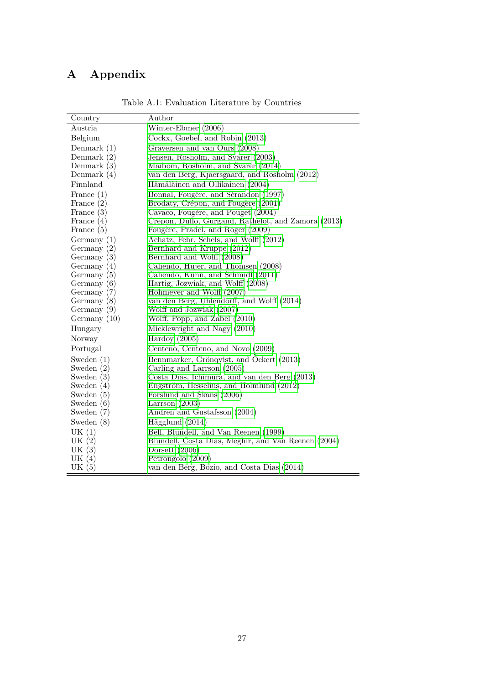# A Appendix

| Country                      | Author                                                                  |
|------------------------------|-------------------------------------------------------------------------|
| Austria                      | Winter-Ebmer (2006)                                                     |
| Belgium                      | Cockx, Goebel, and Robin (2013)                                         |
| Denmark $(1)$                | Graversen and van Ours (2008)                                           |
| Denmark $(2)$                | Jensen, Rosholm, and Svarer (2003)                                      |
| Denmark $(3)$                | Maibom, Rosholm, and Svarer (2014)                                      |
| Denmark $(4)$                | van den Berg, Kjaersgaard, and Rosholm (2012)                           |
| Finnland                     | Hämäläinen and Ollikainen (2004)                                        |
| France $(1)$                 | Bonnal, Fougère, and Sérandon (1997)                                    |
| France $(2)$                 | Brodaty, Crépon, and Fougère (2001)                                     |
| France $(3)$                 | Cavaco, Fougère, and Pouget (2004)                                      |
| France $(4)$                 | Crépon, Duflo, Gurgand, Rathelot, and Zamora (2013)                     |
| France $(5)$                 | Fougère, Pradel, and Roger (2009)                                       |
| Germany $(1)$                | Achatz, Fehr, Schels, and Wolff (2012)                                  |
| Germany $(2)$                | Bernhard and Kruppe (2012)                                              |
| Germany $(3)$                | Bernhard and Wolff (2008)                                               |
| Germany $(4)$                | Caliendo, Hujer, and Thomsen (2008)                                     |
| Germany (5)                  | Caliendo, Künn, and Schmidl (2011)                                      |
| Germany $(6)$                | Hartig, Jozwiak, and Wolff (2008)                                       |
| Germany (7)<br>Germany $(8)$ | Hohmeyer and Wolff (2007)<br>van den Berg, Uhlendorff, and Wolff (2014) |
| Germany $(9)$                | Wolff and Jozwiak (2007)                                                |
| Germany $(10)$               | Wolff, Popp, and Zabel (2010)                                           |
| Hungary                      | Micklewright and Nagy (2010)                                            |
| Norway                       | Hardoy $(2005)$                                                         |
| Portugal                     | Centeno, Centeno, and Novo (2009)                                       |
| Sweden $(1)$                 | Bennmarker, Grönqvist, and Ockert (2013)                                |
| Sweden $(2)$                 | Carling and Larrson (2005)                                              |
| Sweden $(3)$                 | Costa Dias, Ichimura, and van den Berg (2013)                           |
| Sweden $(4)$                 | Engström, Hesselius, and Holmlund (2012)                                |
| Sweden $(5)$                 | Forslund and Skans (2006)                                               |
| Sweden $(6)$                 | Larrson $(2003)$                                                        |
| Sweden $(7)$                 | Andrén and Gustafsson (2004)                                            |
| Sweden $(8)$                 | Hägglund (2014)                                                         |
| UK(1)                        | Bell, Blundell, and Van Reenen (1999)                                   |
| UK $(2)$                     | Blundell, Costa Dias, Meghir, and Van Reenen (2004)                     |
| UK $(3)$                     | Dorsett $(2006)$                                                        |
| UK(4)                        | Petrongolo (2009)                                                       |
| UK(5)                        | van den Berg, Bozio, and Costa Dias (2014)                              |

Table A.1: Evaluation Literature by Countries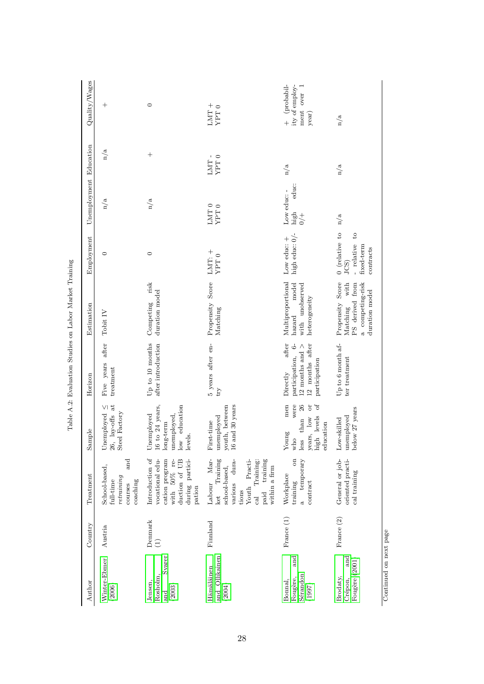| Author                                           | Country                  | Treatment                                                                                                                                                 | Sample                                                                                                                                    | Horizon                                                                                                | Estimation                                                                                    | Employment                                                         | Unemployment Education                        |                     | Quality/Wages                                          |
|--------------------------------------------------|--------------------------|-----------------------------------------------------------------------------------------------------------------------------------------------------------|-------------------------------------------------------------------------------------------------------------------------------------------|--------------------------------------------------------------------------------------------------------|-----------------------------------------------------------------------------------------------|--------------------------------------------------------------------|-----------------------------------------------|---------------------|--------------------------------------------------------|
| Winter-Ebmer<br>(2006)                           | Austria                  | and<br>School-based,<br>returning<br>full-time<br>coaching<br>courses                                                                                     | $26,\,$ lay-offs $% \alpha$ at Steel Factory<br>Unemployed $\leq$                                                                         | Five years after<br>treatment                                                                          | Tobit IV                                                                                      | $\circ$                                                            | n/a                                           | n/a                 | $^{+}$                                                 |
| Svarer<br>Rosholm,<br>Jensen,<br>(2003)<br>and   | Denmark<br>$\widehat{E}$ | Introduction of<br>vocational edu-<br>cation program<br>with 50% re-<br>duction of UB<br>during partici-<br>pation                                        | $16$ to $24$ years,<br>low education<br>unemployed,<br>Unemployed<br>$\ensuremath{\text{long-term}}$<br>levels.                           | Up to 10 months<br>after introduction                                                                  | Competing risk<br>duration model                                                              | $\circ$                                                            | n/a                                           | $^{+}$              | $\circ$                                                |
| and Ollikainen<br>Hämäläinen<br>(2004)           | Finnland                 | Labour Mar-<br>ket Training<br>$\text{training}$<br>various dura-<br>Youth Practi-<br>Training:<br>school-based,<br>within a firm<br>tions<br>paid<br>cal | and 30 years<br>youth, between<br>$16$ and $30$<br>unemployed<br>First-time                                                               | 5 years after en-<br>${\rm tr} {\bf y}$                                                                | Propensity Score<br>Matching                                                                  | $LMT: +$<br><b>VPT0</b>                                            | LMT <sub>0</sub><br>YPT <sub>0</sub>          | <b>YPT0</b><br>LMT- | $LMT +$<br><b>YPT0</b>                                 |
| and<br>Sérandon<br>Fougère,<br>Bonnal,<br>(1997) | France (1)               | $\sum_{i=1}^{n}$<br>a temporary<br>Workplace<br>training<br>contract                                                                                      | men<br>were<br>26<br>$\delta$<br>$\sigma$ f<br>${\rm years},\atop {\rm high}\atop {\rm levels}$<br>less than<br>education<br>Young<br>who | after<br>participation, 6-<br>12 months after<br>$12$ months and $\rm{>}$<br>participation<br>Directly | Multiproportional<br>model<br>with unobserved<br>heterogeneity<br>hazard                      | high educ: 0/-<br>Low educ: +                                      | educ:<br>Low educ: -<br>high<br>$\frac{+}{0}$ | n/a                 | + (probabil-<br>ity of employ-<br>ment over 1<br>year) |
| and<br>Fougere (2001)<br>Brodaty,<br>Crépon,     | France (2)               | General or job-<br>oriented practi-<br>cal training                                                                                                       | below 27 years<br>unemployed<br>Low-skilled                                                                                               | Up to 6 month af-<br>ter treatment                                                                     | Propensity Score<br>with<br>a competing-risk<br>PS derived from<br>duration model<br>Matching | 0 (relative to<br>- relative to<br>fixed-term<br>contracts<br>JCS) | n/a                                           | n/a                 | n/a                                                    |

Table A.2: Evaluation Studies on Labor Market Training Table A.2: Evaluation Studies on Labor Market Training

28

Continued on next page

Continued on next page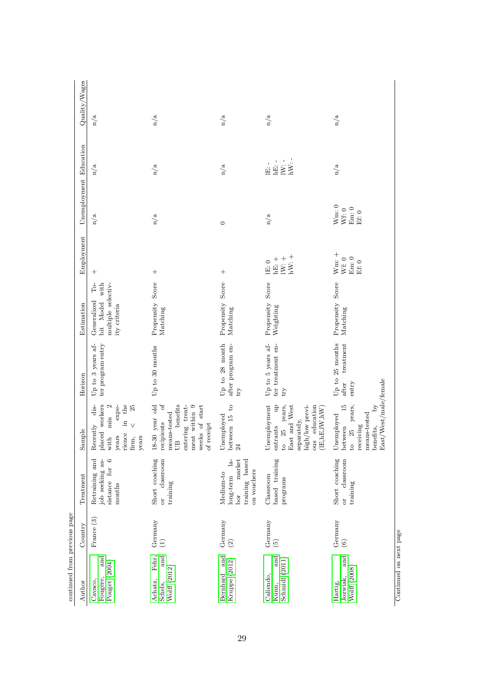| continued from previous page                       |                                 |                                                                                           |                                                                                                                                                                                                                          |                                                                  |                                                                             |                                                                   |                                                                             |               |
|----------------------------------------------------|---------------------------------|-------------------------------------------------------------------------------------------|--------------------------------------------------------------------------------------------------------------------------------------------------------------------------------------------------------------------------|------------------------------------------------------------------|-----------------------------------------------------------------------------|-------------------------------------------------------------------|-----------------------------------------------------------------------------|---------------|
| Author                                             | Country                         | Treatment                                                                                 | Sample                                                                                                                                                                                                                   | Horizon                                                          | Estimation                                                                  | Employment                                                        | Unemployment Education                                                      | Quality/Wages |
| and<br>Pouget (2004)<br>Fougère,<br>Cavaco,        | France (3)                      | $\circ$<br>job seeking as-<br>Retraining and<br>sistance for<br>months                    | in the<br>placed workers<br>expe-<br>25<br>dis-<br>min<br>$\vee$<br>Recently<br>years<br>rience<br>with<br>years<br>firm,                                                                                                | Up to 3 years af-<br>ter program entry                           | F<br>multiple selectiv-<br>with<br>Generalized<br>bit Model<br>ity criteria | $^{+}$                                                            | n/a<br>n/a                                                                  | n/a           |
| Fehr,<br>and<br>Wolff (2012)<br>Achatz,<br>Schels, | Germany<br>$\widehat{E}$        | Short coaching<br>classroom<br>training<br>ð                                              | $\sigma$ f<br>UB benefits<br>$18-30$ year old<br>entering treat-<br>ment within 9<br>weeks of start<br>means-tested<br>recipients<br>receipt<br>ð                                                                        | Up to 30 months                                                  | Score<br>Propensity<br>Matching                                             | $^{+}$                                                            | n/a<br>n/a                                                                  | n/a           |
| Bernhard and<br>Kruppe (2012)                      | Germany<br>$\odot$              | $\frac{1}{a}$<br>market<br>training based<br>on vouchers<br>Medium-to<br>long-term<br>bor | between $15$ to<br>Unemployed<br>$\mathbb{Z}^4$                                                                                                                                                                          | Up to 28 month<br>after program en-<br>$\tau$                    | Propensity Score<br>Matching                                                | $^{+}$                                                            | n/a<br>$\circ$                                                              | n/a           |
| and<br>Schmidl (2011)<br>Caliendo,<br>Künn,        | Germany<br>$\widetilde{\Theta}$ | based training<br>Classroom<br>programs                                                   | Unemployment<br>qu<br>East and West<br>high/low previ-<br>ous education<br>to 25 years,<br>(1E, hE, lW, hW)<br>separately,<br>entrants                                                                                   | Up to 5 years af-<br>ter treatment en-<br>$\text{tr} \mathbf{y}$ | Propensity Score<br>Weighting                                               | $\frac{+}{h}$<br>hE: $+$<br>IE: 0                                 | hW:<br>$\mathbf{I}\mathbf{W}$ : –<br>$\overline{\textrm{hE}}$ .<br>言<br>n/a | n/a           |
| and<br>Wolff (2008)<br>Jozwiak,<br>Hartig,         | Germany<br>$\odot$              | Short coaching<br>classroom<br>training<br>$\overline{c}$                                 | $\begin{array}{ll} \text{bendts}, & \text{by} \\ \text{East}/\text{West}/\text{male}/\text{female} \end{array}$<br>$\overline{5}$<br>years,<br>means-tested<br>Unemployed<br>receiving<br>between<br>25<br>$\mathcal{C}$ | Up to 25 months<br>$t$ reatment<br>after<br>entry                | Score<br>Propensity<br>Matching                                             | $+\frac{1}{\sum_{i=1}^{n}}$<br>$\rm{Em:}$ $0$<br>Wf: $0$<br>Ef: 0 | n/a<br>${\rm Wm:}$ $0$<br>Em: $0$<br>Wf: $0$<br>Ef: 0                       | n/a           |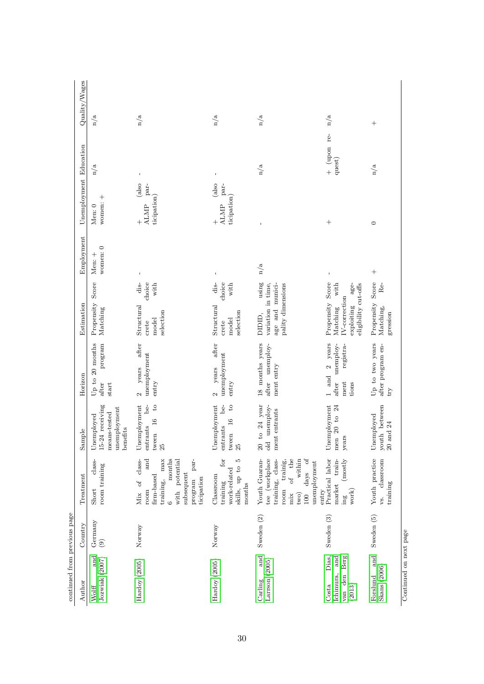| continued from previous page                                    |                       |                                                                                                                                                        |                                                                                       |                                                                              |                                                                                                        |                    |                                               |                       |               |
|-----------------------------------------------------------------|-----------------------|--------------------------------------------------------------------------------------------------------------------------------------------------------|---------------------------------------------------------------------------------------|------------------------------------------------------------------------------|--------------------------------------------------------------------------------------------------------|--------------------|-----------------------------------------------|-----------------------|---------------|
| Author                                                          | Country               | Treatment                                                                                                                                              | Sample                                                                                | Horizon                                                                      | Estimation                                                                                             | Employment         | Unemployment Education                        |                       | Quality/Wages |
| and<br>$Jozwiak$ (2007)<br>Wolff                                | Germany<br>$\odot$    | class-<br>room training<br>Short                                                                                                                       | 15-24 receiving<br>unemployment<br>means-tested<br>Unemployed<br>benefits             | Up to 20 months<br>program<br>after<br>start                                 | Score<br>Propensity<br>Matching                                                                        | women: 0<br>Men: + | $w$ omen: $+$<br>Men: 0                       | n/a                   | n/a           |
| Hardoy $(2005)$                                                 | Norway                | training, max<br>months<br>and<br>par-<br>class-<br>with potential<br>subsequent<br>firm-based<br>ticipation<br>program<br>ð<br>moon<br>Mix<br>$\circ$ | $be-$<br>$\mathfrak{g}$<br>Unemployment<br>tween 16<br>entrants<br>25                 | after<br>unemployment<br>years<br>entry<br>$\mathbf{\Omega}$                 | choice<br>dis-<br>with<br>Structural<br>selection<br>model<br>crete                                    | $\mathbf I$        | ${\rm (also)} \label{eq:ALMP}$<br>ticipation) | $\mathbf{I}$          | n/a           |
| Hardoy (2005)                                                   | Norway                | for<br>IJ<br>skills, up to<br>work-related<br>Classroom<br>training<br>months                                                                          | $be-$<br>$\overline{c}$<br>Unemployment<br>$\overline{16}$<br>entrants<br>tween<br>25 | after<br>unemployment<br>years<br>entry<br>$\mathbf{\Omega}$                 | dis-<br>choice<br>with<br>Structural<br>selection<br>model<br>crete                                    | $\mathbf I$        | (also<br>par-<br>ticipation)<br><b>ALMP</b>   | $\mathbf I$           | n/a           |
| and<br>Larrson (2005)<br>Carling                                | Sweden (2)            | of the<br>days of<br>Youth Guaran-<br>tee (workplace<br>trainig,<br>within<br>training, class-<br>unemployment<br>room<br>entry<br>mix<br>(wo)<br>100  | to $24$ year<br>unemploy-<br>ment entrants<br>$_{\rm old}$<br>$\overline{20}$         | 18 months years<br>after unemploy-<br>ment entry                             | using<br>variation in time,<br>age and munici-<br>pality dimensions<br>DIDID,                          | n/a                |                                               | n/a                   | n/a           |
| Dias,<br>Berg<br>and<br>Ichimura,<br>van den<br>Costa<br>(2013) | Sweden <sup>(3)</sup> | Practical labor<br>(mostly)<br>train-<br>market<br>work)<br>$\lim_{\delta}$                                                                            | Unemployment<br>men 20 to 24<br>years                                                 | years<br>unemploy-<br>registra-<br>$\sim$<br>1 and<br>after<br>ment<br>tions | Score<br>with<br>age-<br>eligibility cut-offs<br>IV-correction<br>exploiting<br>Propensity<br>Matching | ı                  | $^{+}$                                        | + (upon re-<br>quest) | n/a           |
| and<br>Skans (2006)<br>Forslund                                 | Sweden (5)            | Youth practice<br>classroom<br>training<br>vs.                                                                                                         | youth between<br>Unemployed<br>$20$ and $24\,$                                        | Up to two years<br>after program en-<br>try                                  | Score<br>$Re-$<br>Propensity<br>Matching,<br>gression                                                  | $^{+}$             | $\circ$                                       | n/a                   | $^{+}$        |
| Continued on next page                                          |                       |                                                                                                                                                        |                                                                                       |                                                                              |                                                                                                        |                    |                                               |                       |               |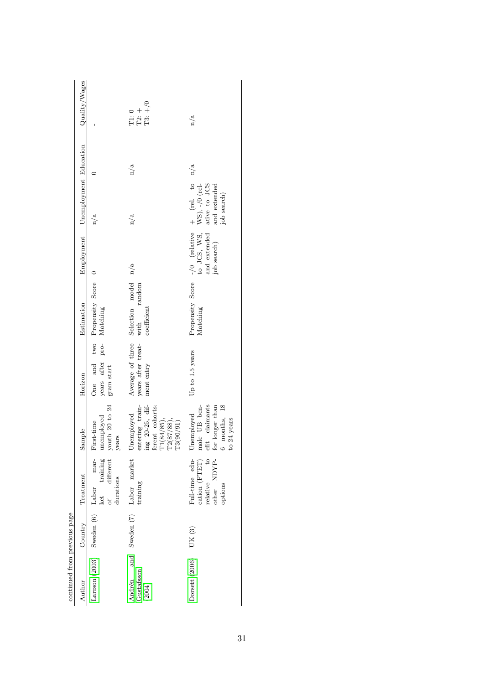| communication for the moment |         |                                                                                             |                                                                                                                                                                |                                                      |                                                        |                             |                                                                                                                                                                             |     |                              |
|------------------------------|---------|---------------------------------------------------------------------------------------------|----------------------------------------------------------------------------------------------------------------------------------------------------------------|------------------------------------------------------|--------------------------------------------------------|-----------------------------|-----------------------------------------------------------------------------------------------------------------------------------------------------------------------------|-----|------------------------------|
| Author                       | Country | Treatment                                                                                   | Sample                                                                                                                                                         | Horizon                                              | Estimation                                             |                             | Employment Unemployment Education                                                                                                                                           |     | Quality/Wages                |
|                              |         | Larrson (2003) Sweden (6) Labor mar- First-time<br>ket training<br>of different<br>duration | youth $20$ to $24$<br>unemployed<br>years                                                                                                                      | pro-<br>One and<br>years after<br>gram start         | two Propensity Score 0<br>Matching                     |                             | n/a                                                                                                                                                                         |     |                              |
| Gustafsson<br>(2004)         |         | Andrén and Sweden (7) Labor market<br>training                                              | entering train-<br>ing 20-25, dif-<br>ferent cohorts:<br>Unemployed<br>$\begin{array}{l} \text{T1}(84/85),\\ \text{T2}(87/88),\\ \text{T3}(90/91) \end{array}$ | Average of three<br>years after treat-<br>ment entry | Selection model n/a<br>random<br>coefficient<br>with   |                             | n/a                                                                                                                                                                         | n/a | $T_{2:1}^{2:2+} + 0$<br>T1:0 |
| Dorsett (2006) UK (3)        |         | cation (FTET)<br>relative to<br>Full-time edu-<br>options                                   | months, 18<br>$\begin{tabular}{ll} Unemployed\\ male & UB & ben \\ eft & claimants \end{tabular}$<br>other NDYP- for longer than<br>to $24$ years              | Up to 1.5 years                                      | Propensity Score -/0 (relative<br>Matching to JCS, WS, | and extended<br>job search) | + (rel. to $n/a$<br>WS), -/0 (rel-<br>ative to JCS<br>$% \left( \left( \beta _{1},\beta _{2},\beta _{3}\right) \right)$ and $% \left( \beta _{3},\beta _{4}\right)$ search) |     | n/a                          |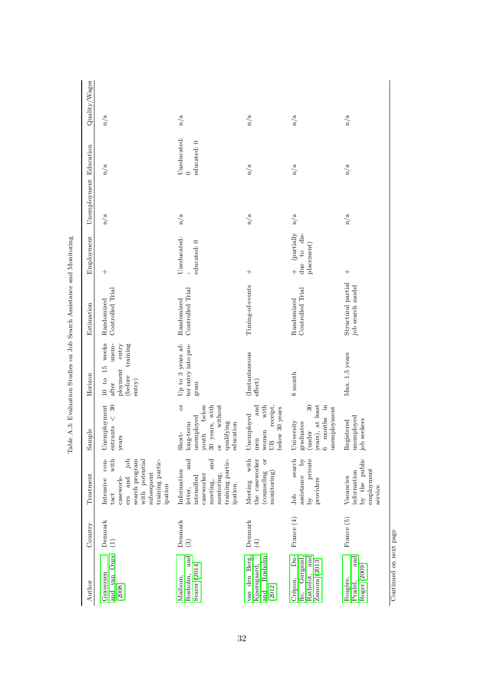| Author                                                               | Country                    | Treatment                                                                                                                                         | Sample                                                                                                                                                                  | Horizon                                                                                   | Estimation                             | Employment                                     | Unemployment Education |                            | Quality/Wages |
|----------------------------------------------------------------------|----------------------------|---------------------------------------------------------------------------------------------------------------------------------------------------|-------------------------------------------------------------------------------------------------------------------------------------------------------------------------|-------------------------------------------------------------------------------------------|----------------------------------------|------------------------------------------------|------------------------|----------------------------|---------------|
| and van Ours<br>Graversen<br>(2008)                                  | Denmark<br>$\widehat{\Xi}$ | with<br>Intensive con-<br>doj<br>search program<br>with potential<br>training partic-<br>subsequent<br>and<br>casework-<br>ipation<br>tact<br>ers | entrants $\lt$ 30<br>Unemployment<br>years                                                                                                                              | weeks<br>unem-<br>training<br>entry<br>10 to 15<br>ployment<br>(before<br>entry)<br>after | Controlled Trial<br>Randomized         | $^{+}$                                         | n/a                    | n/a                        | n/a           |
| and<br>Svarer (2014)<br>Rosholm,<br>Maibom,                          | Denmark<br>$\odot$         | and<br>and<br>training partic-<br>Information<br>mentoring,<br>caseworker<br>intensified<br>meeting,<br>ipation.<br>letter,                       | $\overline{\text{o}}$<br>youth below<br>years, with<br>without<br>unemployed<br>qualifying<br>$long-term$<br>education<br>${\rm Short}\text{-}$<br>30 <sub>o</sub><br>ð | Up to 3 years af-<br>ter entry into pro-<br>gram                                          | Controlled Trial<br>Randomized         | Uneducated:<br>educated: 0                     | n/a                    | Uneducated:<br>educated: 0 | n/a           |
| van den Berg,<br>Rosholm<br>Kjaersgaard,<br>(2012)<br>and            | Denmark<br>$\bigoplus$     | with<br>ð<br>the caseworker<br>(counseling<br>monitoring)<br>Meeting                                                                              | and<br>with<br>receipt,<br>below 30 years<br>Unemployed<br>women<br>men<br>$\mathbb{B}$                                                                                 | (Instantaneous<br>effect)                                                                 | Timing-of-events                       | $^{+}$                                         | n/a                    | n/a                        | n/a           |
| $Du$ -<br>flo, Gurgand,<br>Rathelot, and<br>Zamora (2013)<br>Crépon, | France (4)                 | private<br>${\tt search}$<br>assistance by<br>providers<br>Job<br>$\overline{5}$                                                                  | months in<br>$30\,$<br>years), at least<br>unemployment<br>University<br>graduates<br>(under<br>$\circ$                                                                 | 8 month                                                                                   | Controlled Trial<br>Randomized         | $+$ (partially<br>to dis-<br>placement)<br>due | n/a                    | n/a                        | n/a           |
| and<br>Roger (2009)<br>Fougère,<br>Pradel,                           | France (5)                 | by the public<br>employment<br>information<br>Vacancies<br>service                                                                                | unemployed<br>seekers<br>Registered<br>doj                                                                                                                              | Max. 1.5 years                                                                            | Structural partial<br>job search model | $^{+}$                                         | n/a                    | n/a                        | n/a           |

Table A.3: Evaluation Studies on Job Search Assistance and Monitoring Table A.3: Evaluation Studies on Job Search Assistance and Monitoring

> <span id="page-34-0"></span>Continued on next page Continued on next page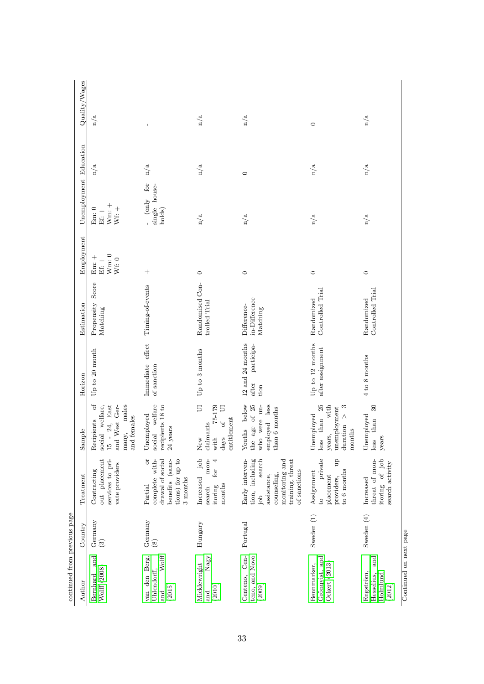| continued from previous page<br>Author                 | Country                  | Treatment                                                                                                                               | Sample                                                                                                                         | Horizon                                             | Estimation                               | Employment                                                       | Unemployment Education                   |         | Quality/Wages |
|--------------------------------------------------------|--------------------------|-----------------------------------------------------------------------------------------------------------------------------------------|--------------------------------------------------------------------------------------------------------------------------------|-----------------------------------------------------|------------------------------------------|------------------------------------------------------------------|------------------------------------------|---------|---------------|
| and<br>Wolff (2008)<br>Bernhard                        | Germany<br>$\circled{3}$ | out placement<br>services to pri-<br>vate providers<br>Contracting                                                                      | $\sigma$<br>many, males<br>$-24$ , East<br>and West Ger-<br>social welfare.<br>females<br>Recipients<br>and<br>$\overline{15}$ | Up to 20 month                                      | Score<br>Propensity<br>Matching          | ${\rm Wm:}$ $0$<br>$\mathop{\mathrm{Emi}}$ +<br>Wf: 0<br>Ef: $+$ | Wm:<br>Wf: +<br>Em: $0$<br>Ef:           | n/a     | n/a           |
| van den Berg,<br>Wolff<br>Uhlendorff,<br>(2015)<br>and | Germany<br>$\circledS$   | tions) for up to<br>ð<br>complete with-<br>drawal of social<br>benefits (sanc-<br>3 months<br>Partial                                   | social welfare<br>recipients 18 to<br>Unemployed<br>24 years                                                                   | effect<br>Immediate<br>of sanction                  | Timing-of-events                         | $^{+}$                                                           | $-$ (only for<br>single house-<br>holds) | n/a     | ı             |
| Nagy<br>Micklewright<br>(2010)<br>and                  | Hungary                  | doj<br>mon-<br>for $4$<br>Increased<br>months<br>itoring<br>search                                                                      | $\overline{\Box}$<br>with $75-179$<br>days of UI<br>entitlement<br>claimants<br>New                                            | Up to 3 months                                      | Randomised Con-<br>trolled Trial         | $\circ$                                                          | n/a                                      | n/a     | n/a           |
| Centeno, Cen-<br>teno, and Novo<br>(2009)              | Portugal                 | Early interven-<br>tion, including<br>search<br>monitoring and<br>training, threat<br>of sanctions<br>counseling,<br>assistance,<br>job | Youths below<br>employed less<br>age of 25<br>who were un-<br>than 6 months<br>the                                             | $12$ and $24$ months<br>participa-<br>after<br>tion | in-Difference<br>Difference-<br>Matching | $\circ$                                                          | n/a                                      | $\circ$ | n/a           |
| Grönqvist, and<br>Öckert (2013)<br>Bennmarker,         | Sweden (1)               | private<br>дu<br>to 6 months<br>Assignment<br>placement<br>providers,<br>$\mathbf{e}$                                                   | 25<br>with<br>$\mathfrak{g}$<br>unemployment<br>Unemployed<br>$\land$<br>than<br>duration<br>months<br>years,<br>less          | Up to 12 months<br>after assignment                 | Controlled Trial<br>Randomized           | $\circ$                                                          | n/a                                      | n/a     | $\circ$       |
| and<br>Engström,<br>Holmlund<br>Hesselius,<br>(2012)   | Sweden (4)               | itoring of job<br>threat of mon-<br>search activity<br>Increased                                                                        | $\boldsymbol{30}$<br>Unemployed<br>than<br>years<br>less                                                                       | 4 to 8 months                                       | Controlled Trial<br>Randomized           | $\circ$                                                          | n/a                                      | n/a     | n/a           |
| Continued on next page                                 |                          |                                                                                                                                         |                                                                                                                                |                                                     |                                          |                                                                  |                                          |         |               |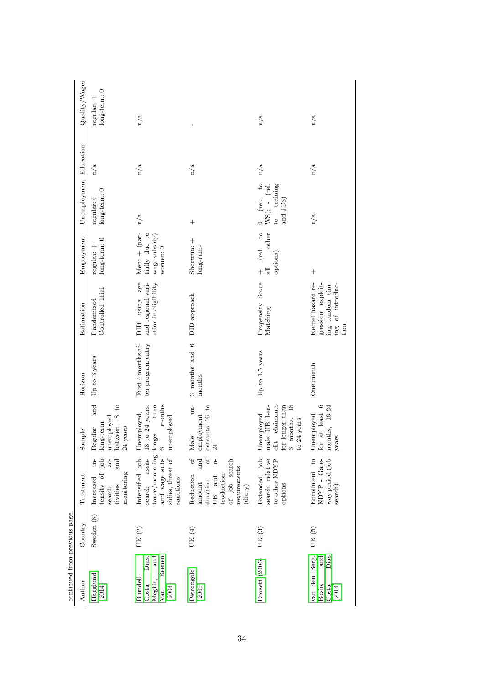| continued from previous page                                             |            |                                                                                                                                                                |                                                                                                                     |                                         |                                                                                       |                                                            |                                                                                  |     |                              |
|--------------------------------------------------------------------------|------------|----------------------------------------------------------------------------------------------------------------------------------------------------------------|---------------------------------------------------------------------------------------------------------------------|-----------------------------------------|---------------------------------------------------------------------------------------|------------------------------------------------------------|----------------------------------------------------------------------------------|-----|------------------------------|
| Author                                                                   | Country    | Treatment                                                                                                                                                      | Sample                                                                                                              | Horizon                                 | Estimation                                                                            | Employment                                                 | Unemployment Education                                                           |     | Quality/Wages                |
| Hägglund<br>(2014)                                                       | Sweden (8) | ac-<br>and<br>doj<br>Ė.<br>monitoring<br>tensity of<br>Increased<br>tivities<br>search                                                                         | and<br>between 18 to<br>unemployed<br>long-term<br>$24\ \mathrm{years}$<br>Regular                                  | Up to 3 years                           | Controlled Trial<br>Randomized                                                        | $long-term: 0$<br>regular: +                               | long-term: 0<br>regular: 0                                                       | n/a | $long-term: 0$<br>regular: + |
| and<br>Reenen<br>Dias.<br>Blundell,<br>Meghir,<br>Costa<br>(2004)<br>Van | UK $(2)$   | tance/mentoring<br>Intensified job<br>sidies, threat of<br>search assis-<br>and wage sub-<br>sanctions                                                         | months<br>to 24 years,<br>longer than<br>Unemployed,<br>unemployed<br>$\overline{18}$<br>Ġ                          | First 4 months af-<br>ter program entry | age<br>and regional vari-<br>ation in eligibility<br>DID using                        | Men: + (par-<br>tially due to<br>wage subsidy)<br>women: 0 | n/a                                                                              | n/a | n/a                          |
| Petrongolo<br>(2009)                                                     | UK (4)     | <sub>0</sub> f<br>$\sigma$<br>$\vec{E}$<br>and<br>of job search<br>requirements<br>Reduction<br>troduction<br>UB and<br>$\frac{d$ uration<br>amount<br>(diary) | $un-$<br>entrants 16 to<br>employment<br>Male<br>24                                                                 | 3 months and 6<br>months                | DID approach                                                                          | Shortrun: +<br>long-run:-                                  | $^{+}$                                                                           | n/a |                              |
| Dorsett (2006)                                                           | UK $(3)$   | search relative<br>Extended job<br>to other NDYP<br>options                                                                                                    | claimants<br>for longer than<br>months, 18<br>male UB ben-<br>Unemployed<br>to 24 years<br>$_{\rm efit}$<br>$\circ$ | Up to 1.5 years                         | Propensity Score<br>Matching                                                          | options)                                                   | + (rel. to 0 (rel. to $n/a$<br>all other WS); - (rel.<br>to training<br>and JCS) |     | n/a                          |
| van den Berg,<br>and<br>Dias<br>Bozio,<br>(2014)<br>Costa                | UK $(5)$   | Enrollment in<br>way period (job<br>NDYP - Gate-<br>search)                                                                                                    | at least 6<br>months, 18-24<br>Unemployed<br>years<br>$_{\rm for}$                                                  | One month                               | Kernel hazard re-<br>ing random tim-<br>gression exploit-<br>ing of introduc-<br>tion | $^{+}$                                                     | n/a                                                                              | n/a | n/a                          |

34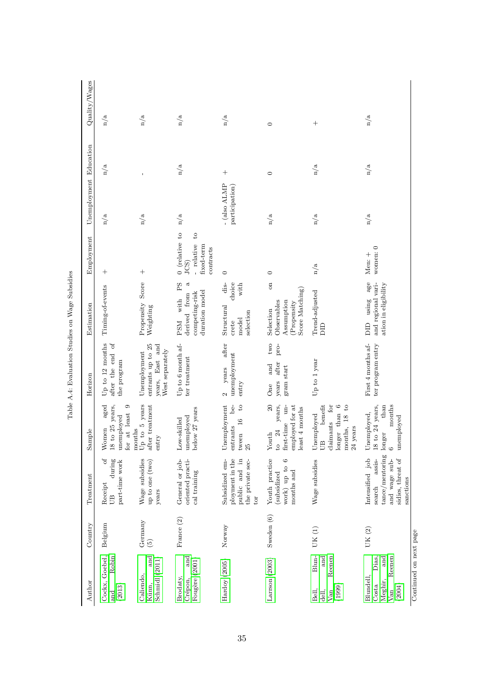| Author                                                                   | Country                                      | Treatment                                                                                                 | Sample                                                                                                                                    | Horizon                                                                       | Estimation                                                                         | Employment                                                         | Unemployment Education         |         | Quality/Wages |
|--------------------------------------------------------------------------|----------------------------------------------|-----------------------------------------------------------------------------------------------------------|-------------------------------------------------------------------------------------------------------------------------------------------|-------------------------------------------------------------------------------|------------------------------------------------------------------------------------|--------------------------------------------------------------------|--------------------------------|---------|---------------|
| Cockx, Goebel,<br>Robin<br>(2013)<br>and                                 | Belgium                                      | ðf<br>during<br>part-time work<br>Receipt<br>$\mathbb{B}$                                                 | 18 to 25 years,<br>$\circ$<br>aged<br>at least<br>unemployed<br>Women<br>for                                                              | Up to 12 months<br>after the end of<br>the program                            | Timing-of-events                                                                   | $^{+}$                                                             | n/a                            | n/a     | n/a           |
| and<br>Schmidl (2011)<br>Caliendo,<br>Künn,                              | Germany<br>$\begin{pmatrix} 5 \end{pmatrix}$ | Wage subsidies<br>up to one $(two)$<br>years                                                              | Up to 5 years<br>after treatment<br>months<br>entry                                                                                       | entrants up to 25<br>and<br>West separately<br>Unemployment<br>East<br>years, | Propensity Score<br>Weighting                                                      | $^{+}$                                                             | n/a                            | ï       | n/a           |
| and<br>Fougere (2001)<br>Brodaty,<br>Crépon,                             | France (2)                                   | General or job-<br>oriented practi-<br>cal training                                                       | below 27 years<br>unemployed<br>Low-skilled                                                                                               | Up to 6 month af-<br>ter treatment                                            | PSM with PS<br>ದ<br>duration model<br>derived from<br>competing-risk               | 0 (relative to<br>- relative to<br>fixed-term<br>contracts<br>JCS) | n/a                            | n/a     | n/a           |
| Hardoy $(2005)$                                                          | Norway                                       | ployment in the<br>Subsidized em-<br>public and in<br>the private sec-<br>tor                             | $\circ$<br>$be-$<br>Unemployment<br>tween 16<br>entrants<br>25                                                                            | after<br>unemployment<br>years<br>entry<br>$\mathbf{\Omega}$                  | dis-<br>choice<br>with<br>Structural<br>selection<br>model<br>crete                | $\circ$                                                            | - (also ALMP<br>participation) | $^{+}$  | n/a           |
| Larrson (2003)                                                           | Sweden (6)                                   | Youth practice<br>$\circ$<br>work) up to<br>months and<br>(subsidized                                     | 20<br>years,<br>$un-$<br>employed for at<br>least 4 months<br>first-time<br>24<br>Youth<br>$\circ$                                        | $_{\rm two}$<br>pro-<br>after<br>and<br>gram start<br>years<br>One            | $\sin$<br>Score Matching)<br>Observables<br>Assumption<br>(Propensity<br>Selection | $\circ$                                                            | n/a                            | $\circ$ | $\circ$       |
| Blun-<br>and<br>Reenen<br>(1999)<br>Bell,<br>dell,<br>Van                | UK $(1)$                                     | Wage subsidies                                                                                            | claimants for<br>longer than 6<br>months, 18 to<br>$\ensuremath{\mathsf{b}}$ enefit<br>Unemployed<br>$24\ \mathrm{years}$<br>$\mathbb{B}$ | Up to 1 year                                                                  | Trend-adjusted<br><b>A</b>                                                         | n/a                                                                | n/a                            | n/a     | $^{+}$        |
| Reenen<br>Dias,<br>and<br>Blundell,<br>Meghir,<br>Costa<br>(2004)<br>Van | UK $(2)$                                     | tance/mentoring<br>Intensified job<br>sidies, threat of<br>assis-<br>and wage sub-<br>sanctions<br>search | months<br>than<br>18 to 24 years,<br>Unemployed,<br>unemployed<br>longer<br>o                                                             | First 4 months af-<br>ter program entry                                       | age<br>and regional vari-<br>ation in eligibility<br>DID using                     | women: $0$<br>$M$ en:                                              | n/a                            | n/a     | n/a           |
| Continued on next page                                                   |                                              |                                                                                                           |                                                                                                                                           |                                                                               |                                                                                    |                                                                    |                                |         |               |

<span id="page-37-0"></span>Table A.4: Evaluation Studies on Wage Subsidies Table A.4: Evaluation Studies on Wage Subsidies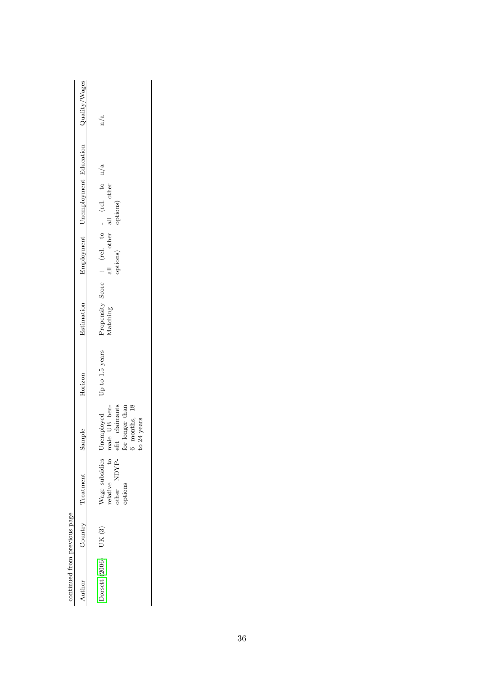| na ma            |
|------------------|
| S<br>7<br>j<br>í |
| i<br>S           |
| i                |

| $\Delta$ uthor           | Country Treatment Sar                                     | mple                                                                                                 | Horizon         | Estimation |         | Employment Unemployment Education Quality/Wages                        |     |
|--------------------------|-----------------------------------------------------------|------------------------------------------------------------------------------------------------------|-----------------|------------|---------|------------------------------------------------------------------------|-----|
| $D$ orsett (2006) UK (3) | Wage subsidies<br>relative to<br>other $MDYP-$<br>options | Unemployed<br>claimants<br>longer than<br>months, 18<br>male UB ben-<br>24 years<br>efit<br>ТÖ.<br>g | Up to 1.5 years |            | ptions) | Propensity Score + (rel. to - (rel. to $n/a$ )<br>Matching<br>options) | n/a |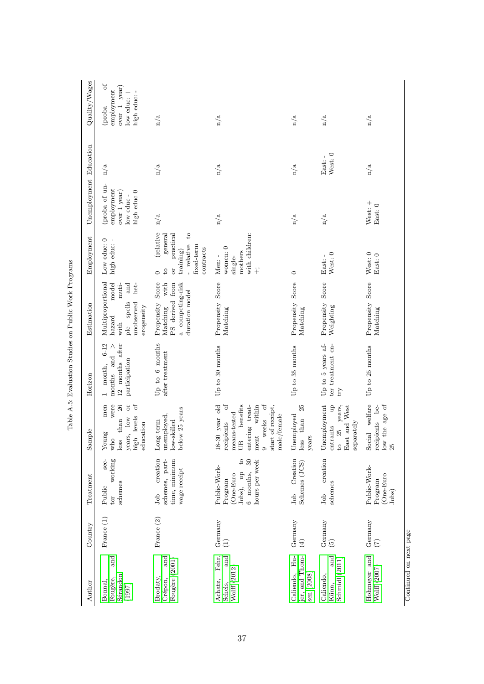| Author                                                   | Country                              | Treatment                                                                                         | Sample                                                                                                                                                                    | Horizon                                                             | Estimation                                                                                                                 | Employment                                                                                                                                  | Unemployment Education                                                   |                    | Quality/Wages                                                                    |
|----------------------------------------------------------|--------------------------------------|---------------------------------------------------------------------------------------------------|---------------------------------------------------------------------------------------------------------------------------------------------------------------------------|---------------------------------------------------------------------|----------------------------------------------------------------------------------------------------------------------------|---------------------------------------------------------------------------------------------------------------------------------------------|--------------------------------------------------------------------------|--------------------|----------------------------------------------------------------------------------|
| and<br>Sérandon<br>Fougère,<br>Bonnal,<br>(1997)         | France (1)                           | working<br>sec-<br>schemes<br>Public<br>$\overline{\text{tor}}$                                   | ð<br>$\sigma$ f<br>were<br>less than 26<br>men<br>high levels<br>years, low<br>education<br>Young<br>who                                                                  | 12 months after<br>1 month, 6-12<br>months and $>$<br>participation | Multiproportional<br>model<br>muti-<br>and<br>het-<br>$_{\rm spells}$<br>unobserved<br>erogeneity<br>hazard<br>with<br>ple | $_{\rm Low \;educ: \; 0}$<br>high educ: -                                                                                                   | (proba of un-<br>employment<br>over 1 year)<br>high educ 0<br>low educ - | n/a                | $\sigma$ f<br>over 1 year)<br>employment<br>low educ: +<br>high educ:-<br>(proba |
| and<br>Fougere (2001)<br>Brodaty,<br>Crépon,             | France (2)                           | creation<br>time, minimum<br>schemes, part-<br>wage receipt<br>Job                                | below 25 years<br>unemployed,<br>low-skilled<br>Long-term                                                                                                                 | Up to 6 months<br>after treatment                                   | Propensity Score<br>with<br>a competing-risk<br>PS derived from<br>duration model<br>Matching                              | (relative<br>$\overline{c}$<br>practical<br>general<br>- relative<br>fixed-term<br>contracts<br>training)<br>ð<br>$\overline{c}$<br>$\circ$ | n/a                                                                      | n/a                | n/a                                                                              |
| Fehr,<br>and<br>Wolff (2012)<br>Achatz,<br>Schels,       | Germany<br>$\widehat{E}$             | $^{6}$<br>$6$ months, $30$<br>hours per week<br>Public-Work-<br>Jobs), up<br>(One-Euro<br>Program | $\sigma$<br>$18-30$ year old<br>weeks of<br>benefits<br>entering treat-<br>ment within<br>start of receipt,<br>means-tested<br>male/female<br>recipients<br>ÊД<br>$\circ$ | Up to 30 months                                                     | Score<br>Propensity<br>Matching                                                                                            | with children:<br>women: 0<br>mothers<br>Men:-<br>single-<br>$\ddot{+}$                                                                     | n/a                                                                      | n/a                | n/a                                                                              |
| $_{\rm Hu}$<br>jer, and Thom-<br>sen (2008)<br>Caliendo, | Germany<br>$\bigoplus$               | Creation<br>Schemes (JCS)<br>Job                                                                  | 25<br>Unemployed<br>less than<br>years                                                                                                                                    | Up to 35 months                                                     | Propensity Score<br>Matching                                                                                               | $\circ$                                                                                                                                     | n/a                                                                      | n/a                | n/a                                                                              |
| and<br>Schmidl (2011)<br>Caliendo,<br>Künn,              | Germany<br>$\widetilde{\mathbf{e}}$  | creation<br>schemes<br>Job                                                                        | qu<br>Unemployment<br>25 years,<br>East and West<br>separately<br>entrants<br>$\circ$                                                                                     | Up to 5 years af-<br>ter treatment en-<br>$\text{tr}$               | Score<br>Propensity<br>Weighting                                                                                           | West: 0<br>East: -                                                                                                                          | n/a                                                                      | West: 0<br>East: - | n/a                                                                              |
| Hohmeyer and<br>Wolff (2007)                             | Germany<br>$\widehat{(\mathcal{I})}$ | Public-Work-<br>(One-Euro<br>Program<br>Jobs)                                                     | Social welfare<br>the age of<br>recipients be-<br>$_{\rm low}$<br>25                                                                                                      | Up to 25 months                                                     | Score<br>Propensity<br>Matching                                                                                            | West: 0<br>East: 0                                                                                                                          | West: $+$<br>East: 0                                                     | n/a                | n/a                                                                              |
| Continued on next page                                   |                                      |                                                                                                   |                                                                                                                                                                           |                                                                     |                                                                                                                            |                                                                                                                                             |                                                                          |                    |                                                                                  |

<span id="page-39-0"></span>

| Ï<br>l<br>֠<br>١<br>l<br>ŀ<br>i<br>l<br>l<br>i<br>į<br>j<br>l<br>֖֖֖֧ׅ֧֖֖֧֧ׅ֧֚֚֚֚֚֚֚֚֚֚֚֚֚֚֚֚֚֚֚֚֚֚֚֚֚֚֚֚֚֚֚֚֡֬֝֝֓֞֝֓֞֝֬֓֬<br>i<br>١<br>J<br>ï<br>ׇ֚֓֡<br>ï<br>l<br>ï<br>I<br>I<br>١<br>ł<br>ś<br>l<br>ı<br>l<br>I<br>ļ<br>J<br>l<br>J | I<br>l<br>)<br>ׇׇ֕֡<br>ĺ |
|----------------------------------------------------------------------------------------------------------------------------------------------------------------------------------------------------------------------------------------|--------------------------|
|                                                                                                                                                                                                                                        |                          |
|                                                                                                                                                                                                                                        |                          |
|                                                                                                                                                                                                                                        |                          |
|                                                                                                                                                                                                                                        |                          |
|                                                                                                                                                                                                                                        |                          |
|                                                                                                                                                                                                                                        |                          |